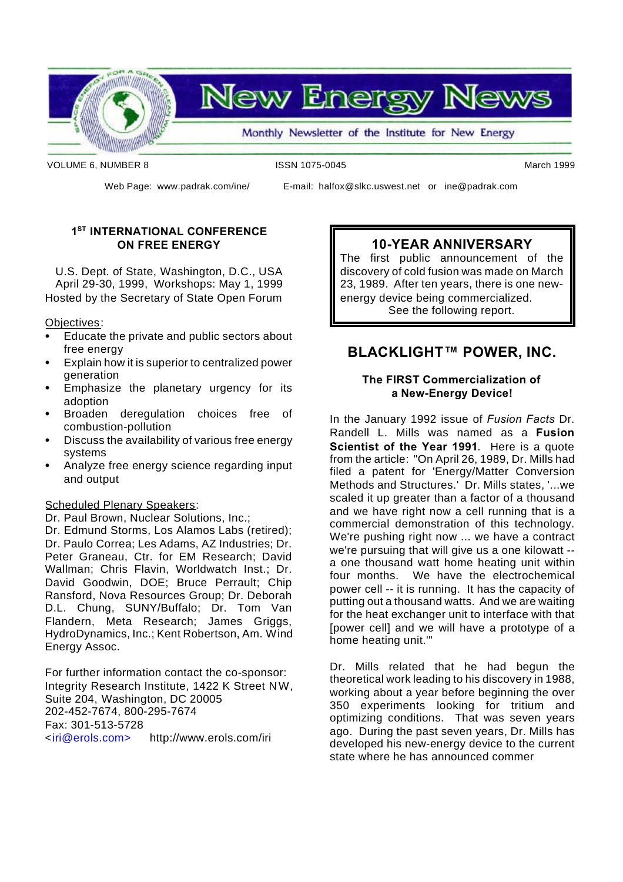

**New Energ** 

Monthly Newsletter of the Institute for New Energy

VOLUME 6, NUMBER 8 **ISSN 1075-0045** March 1999

Web Page: www.padrak.com/ine/ E-mail: halfox@slkc.uswest.net or ine@padrak.com

#### **1 ST INTERNATIONAL CONFERENCE ON FREE ENERGY**

U.S. Dept. of State, Washington, D.C., USA April 29-30, 1999, Workshops: May 1, 1999 Hosted by the Secretary of State Open Forum

Objectives:

- Educate the private and public sectors about free energy
- Explain how it is superior to centralized power generation
- Emphasize the planetary urgency for its adoption
- Broaden deregulation choices free of combustion-pollution
- Discuss the availability of various free energy systems
- Analyze free energy science regarding input and output

#### Scheduled Plenary Speakers:

Dr. Paul Brown, Nuclear Solutions, Inc.; Dr. Edmund Storms, Los Alamos Labs (retired); Dr. Paulo Correa; Les Adams, AZ Industries; Dr. Peter Graneau, Ctr. for EM Research; David Wallman; Chris Flavin, Worldwatch Inst.; Dr. David Goodwin, DOE; Bruce Perrault; Chip Ransford, Nova Resources Group; Dr. Deborah D.L. Chung, SUNY/Buffalo; Dr. Tom Van Flandern, Meta Research; James Griggs, HydroDynamics, Inc.; Kent Robertson, Am. Wind Energy Assoc.

For further information contact the co-sponsor: Integrity Research Institute, 1422 K Street NW, Suite 204, Washington, DC 20005 202-452-7674, 800-295-7674 Fax: 301-513-5728 <iri@erols.com> http://www.erols.com/iri

### **10-YEAR ANNIVERSARY**

The first public announcement of the discovery of cold fusion was made on March 23, 1989. After ten years, there is one newenergy device being commercialized. See the following report.

## **BLACKLIGHT™ POWER, INC.**

#### **The FIRST Commercialization of a New-Energy Device!**

In the January 1992 issue of *Fusion Facts* Dr. Randell L. Mills was named as a **Fusion Scientist of the Year 1991**. Here is a quote from the article: "On April 26, 1989, Dr. Mills had filed a patent for 'Energy/Matter Conversion Methods and Structures.' Dr. Mills states, '...we scaled it up greater than a factor of a thousand and we have right now a cell running that is a commercial demonstration of this technology. We're pushing right now ... we have a contract we're pursuing that will give us a one kilowatt - a one thousand watt home heating unit within four months. We have the electrochemical power cell -- it is running. It has the capacity of putting out a thousand watts. And we are waiting for the heat exchanger unit to interface with that [power cell] and we will have a prototype of a home heating unit.'"

Dr. Mills related that he had begun the theoretical work leading to his discovery in 1988, working about a year before beginning the over 350 experiments looking for tritium and optimizing conditions. That was seven years ago. During the past seven years, Dr. Mills has developed his new-energy device to the current state where he has announced commer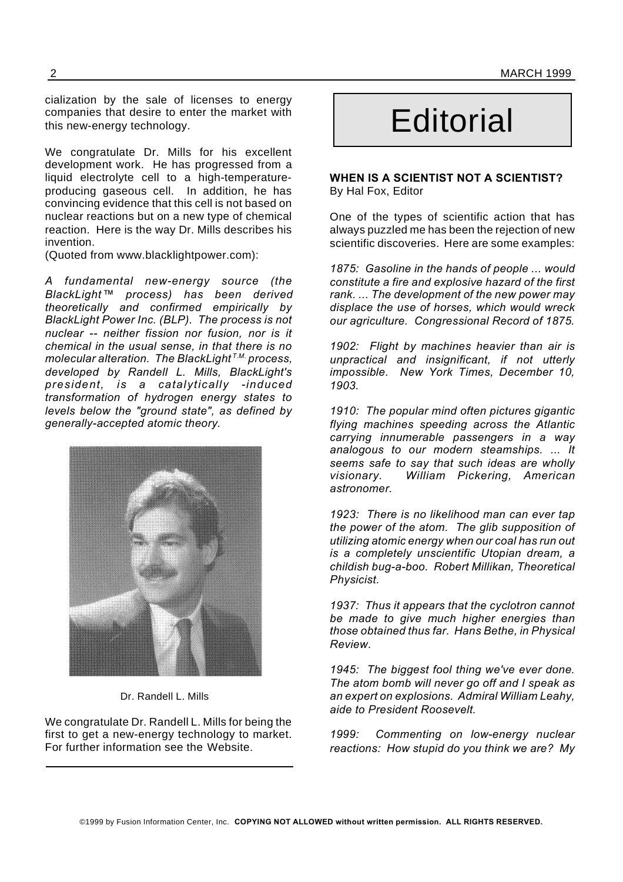2 MARCH 1999

cialization by the sale of licenses to energy companies that desire to enter the market with this new-energy technology.

We congratulate Dr. Mills for his excellent development work. He has progressed from a liquid electrolyte cell to a high-temperatureproducing gaseous cell. In addition, he has convincing evidence that this cell is not based on nuclear reactions but on a new type of chemical reaction. Here is the way Dr. Mills describes his invention.

(Quoted from www.blacklightpower.com):

*A fundamental new-energy source (the BlackLight™ process) has been derived theoretically and confirmed empirically by BlackLight Power Inc. (BLP). The process is not nuclear -- neither fission nor fusion, nor is it chemical in the usual sense, in that there is no molecular alteration. The BlackLight T.M. process, developed by Randell L. Mills, BlackLight's president, is a catalytically -induced transformation of hydrogen energy states to levels below the "ground state", as defined by generally-accepted atomic theory.*



Dr. Randell L. Mills

We congratulate Dr. Randell L. Mills for being the first to get a new-energy technology to market. For further information see the Website.

# **Editorial**

#### **WHEN IS A SCIENTIST NOT A SCIENTIST?** By Hal Fox, Editor

One of the types of scientific action that has always puzzled me has been the rejection of new scientific discoveries. Here are some examples:

*1875: Gasoline in the hands of people ... would constitute a fire and explosive hazard of the first rank. ... The development of the new power may displace the use of horses, which would wreck our agriculture. Congressional Record of 1875.*

*1902: Flight by machines heavier than air is unpractical and insignificant, if not utterly impossible. New York Times, December 10, 1903.*

*1910: The popular mind often pictures gigantic flying machines speeding across the Atlantic carrying innumerable passengers in a way analogous to our modern steamships. ... It seems safe to say that such ideas are wholly visionary. William Pickering, American astronomer.*

*1923: There is no likelihood man can ever tap the power of the atom. The glib supposition of utilizing atomic energy when our coal has run out is a completely unscientific Utopian dream, a childish bug-a-boo. Robert Millikan, Theoretical Physicist.*

*1937: Thus it appears that the cyclotron cannot be made to give much higher energies than those obtained thus far. Hans Bethe, in Physical Review.*

*1945: The biggest fool thing we've ever done. The atom bomb will never go off and I speak as an expert on explosions. Admiral William Leahy, aide to President Roosevelt.*

*1999: Commenting on low-energy nuclear reactions: How stupid do you think we are? My*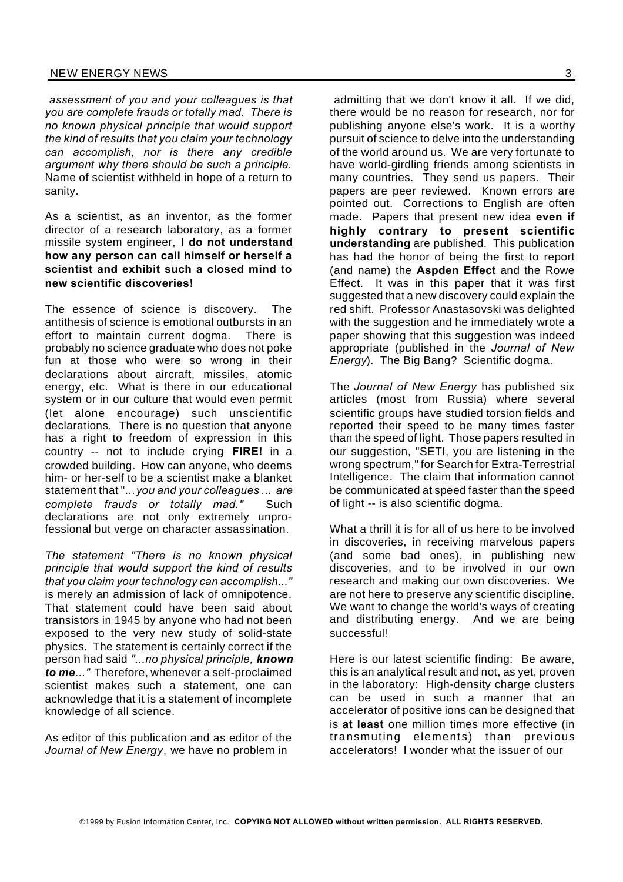*assessment of you and your colleagues is that you are complete frauds or totally mad. There is no known physical principle that would support the kind of results that you claim your technology can accomplish, nor is there any credible argument why there should be such a principle.* Name of scientist withheld in hope of a return to sanity.

As a scientist, as an inventor, as the former director of a research laboratory, as a former missile system engineer, **I do not understand how any person can call himself or herself a scientist and exhibit such a closed mind to new scientific discoveries!**

The essence of science is discovery. The antithesis of science is emotional outbursts in an effort to maintain current dogma. There is probably no science graduate who does not poke fun at those who were so wrong in their declarations about aircraft, missiles, atomic energy, etc. What is there in our educational system or in our culture that would even permit (let alone encourage) such unscientific declarations. There is no question that anyone has a right to freedom of expression in this country -- not to include crying **FIRE!** in a crowded building. How can anyone, who deems him- or her-self to be a scientist make a blanket statement that "...*you and your colleagues ... are complete frauds or totally mad."* Such declarations are not only extremely unprofessional but verge on character assassination.

*The statement "There is no known physical principle that would support the kind of results that you claim your technology can accomplish..."* is merely an admission of lack of omnipotence. That statement could have been said about transistors in 1945 by anyone who had not been exposed to the very new study of solid-state physics. The statement is certainly correct if the person had said *"...no physical principle, known to me..."* Therefore, whenever a self-proclaimed scientist makes such a statement, one can acknowledge that it is a statement of incomplete knowledge of all science.

As editor of this publication and as editor of the *Journal of New Energy*, we have no problem in

admitting that we don't know it all. If we did, there would be no reason for research, nor for publishing anyone else's work. It is a worthy pursuit of science to delve into the understanding of the world around us. We are very fortunate to have world-girdling friends among scientists in many countries. They send us papers. Their papers are peer reviewed. Known errors are pointed out. Corrections to English are often made. Papers that present new idea **even if highly contrary to present scientific understanding** are published. This publication has had the honor of being the first to report (and name) the **Aspden Effect** and the Rowe Effect. It was in this paper that it was first suggested that a new discovery could explain the red shift. Professor Anastasovski was delighted with the suggestion and he immediately wrote a paper showing that this suggestion was indeed appropriate (published in the *Journal of New Energy*). The Big Bang? Scientific dogma.

The *Journal of New Energy* has published six articles (most from Russia) where several scientific groups have studied torsion fields and reported their speed to be many times faster than the speed of light. Those papers resulted in our suggestion, "SETI, you are listening in the wrong spectrum," for Search for Extra-Terrestrial Intelligence. The claim that information cannot be communicated at speed faster than the speed of light -- is also scientific dogma.

What a thrill it is for all of us here to be involved in discoveries, in receiving marvelous papers (and some bad ones), in publishing new discoveries, and to be involved in our own research and making our own discoveries. We are not here to preserve any scientific discipline. We want to change the world's ways of creating and distributing energy. And we are being successful!

Here is our latest scientific finding: Be aware, this is an analytical result and not, as yet, proven in the laboratory: High-density charge clusters can be used in such a manner that an accelerator of positive ions can be designed that is **at least** one million times more effective (in transmuting elements) than previous accelerators! I wonder what the issuer of our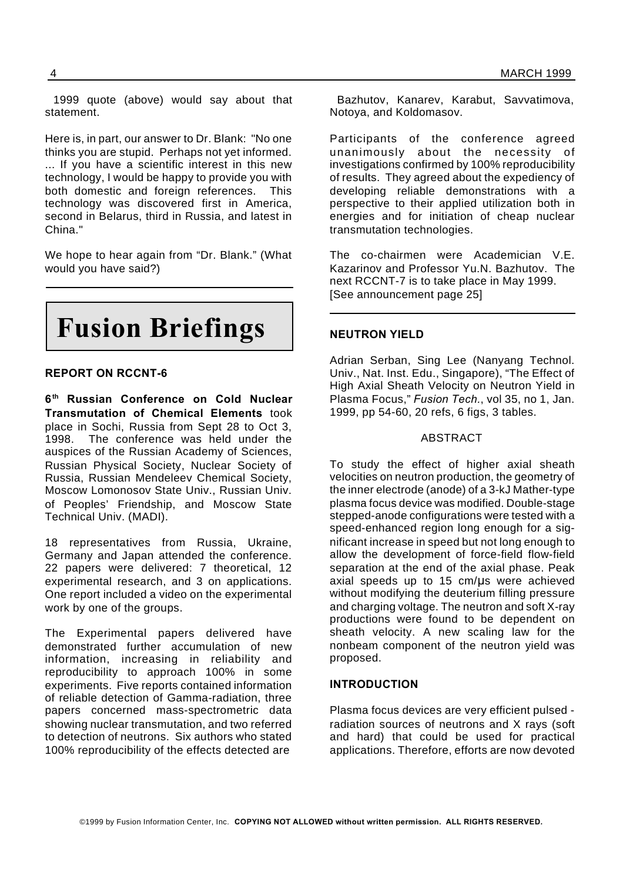1999 quote (above) would say about that statement.

Here is, in part, our answer to Dr. Blank: "No one thinks you are stupid. Perhaps not yet informed. ... If you have a scientific interest in this new technology, I would be happy to provide you with both domestic and foreign references. This technology was discovered first in America, second in Belarus, third in Russia, and latest in China."

We hope to hear again from "Dr. Blank." (What would you have said?)



#### **REPORT ON RCCNT-6**

**6 th Russian Conference on Cold Nuclear Transmutation of Chemical Elements** took place in Sochi, Russia from Sept 28 to Oct 3, 1998. The conference was held under the auspices of the Russian Academy of Sciences, Russian Physical Society, Nuclear Society of Russia, Russian Mendeleev Chemical Society, Moscow Lomonosov State Univ., Russian Univ. of Peoples' Friendship, and Moscow State Technical Univ. (MADI).

18 representatives from Russia, Ukraine, Germany and Japan attended the conference. 22 papers were delivered: 7 theoretical, 12 experimental research, and 3 on applications. One report included a video on the experimental work by one of the groups.

The Experimental papers delivered have demonstrated further accumulation of new information, increasing in reliability and reproducibility to approach 100% in some experiments. Five reports contained information of reliable detection of Gamma-radiation, three papers concerned mass-spectrometric data showing nuclear transmutation, and two referred to detection of neutrons. Six authors who stated 100% reproducibility of the effects detected are

Bazhutov, Kanarev, Karabut, Savvatimova, Notoya, and Koldomasov.

Participants of the conference agreed unanimously about the necessity of investigations confirmed by 100% reproducibility of results. They agreed about the expediency of developing reliable demonstrations with a perspective to their applied utilization both in energies and for initiation of cheap nuclear transmutation technologies.

The co-chairmen were Academician V.E. Kazarinov and Professor Yu.N. Bazhutov. The next RCCNT-7 is to take place in May 1999. [See announcement page 25]

#### **NEUTRON YIELD**

Adrian Serban, Sing Lee (Nanyang Technol. Univ., Nat. Inst. Edu., Singapore), "The Effect of High Axial Sheath Velocity on Neutron Yield in Plasma Focus," *Fusion Tech.*, vol 35, no 1, Jan. 1999, pp 54-60, 20 refs, 6 figs, 3 tables.

#### ABSTRACT

To study the effect of higher axial sheath velocities on neutron production, the geometry of the inner electrode (anode) of a 3-kJ Mather-type plasma focus device was modified. Double-stage stepped-anode configurations were tested with a speed-enhanced region long enough for a significant increase in speed but not long enough to allow the development of force-field flow-field separation at the end of the axial phase. Peak axial speeds up to  $15$  cm/us were achieved without modifying the deuterium filling pressure and charging voltage. The neutron and soft X-ray productions were found to be dependent on sheath velocity. A new scaling law for the nonbeam component of the neutron yield was proposed.

#### **INTRODUCTION**

Plasma focus devices are very efficient pulsed radiation sources of neutrons and X rays (soft and hard) that could be used for practical applications. Therefore, efforts are now devoted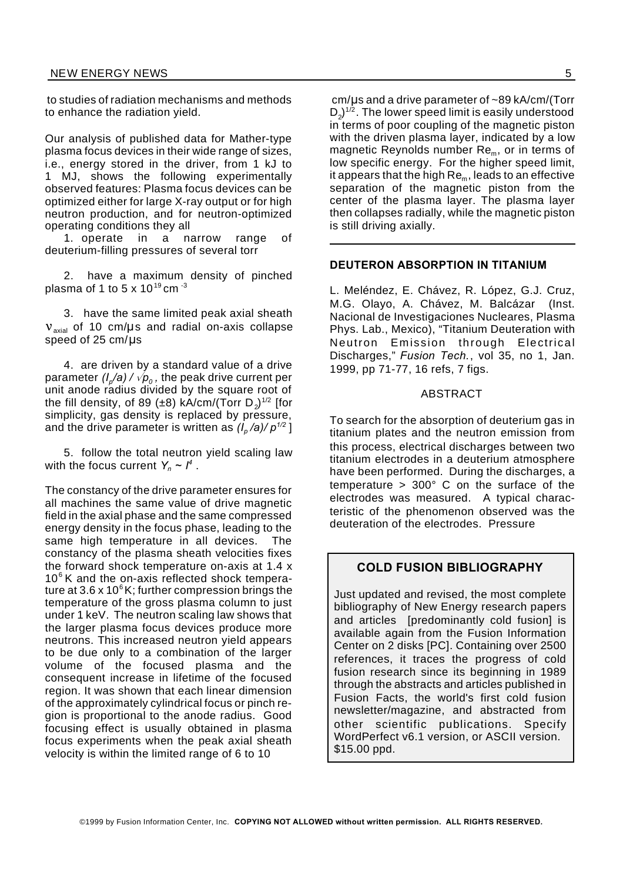to studies of radiation mechanisms and methods to enhance the radiation yield.

Our analysis of published data for Mather-type plasma focus devices in their wide range of sizes, i.e., energy stored in the driver, from 1 kJ to 1 MJ, shows the following experimentally observed features: Plasma focus devices can be optimized either for large X-ray output or for high neutron production, and for neutron-optimized operating conditions they all

1. operate in a narrow range of deuterium-filling pressures of several torr

2. have a maximum density of pinched plasma of 1 to 5 x 10<sup>19</sup> cm  $-3$ 

3. have the same limited peak axial sheath  $v<sub>axial</sub>$  of 10 cm/ $\mu$ s and radial on-axis collapse speed of  $25 \text{ cm}/\text{µs}$ 

4. are driven by a standard value of a drive parameter *(I<sub>p</sub>/a) /*  $\sqrt{\pmb{\rho}}_o$  *,* the peak drive current per unit anode radius divided by the square root of the fill density, of 89 (±8) kA/cm/(Torr D $_2^{}$ ) $^{\scriptscriptstyle 1/2}$  [for simplicity, gas density is replaced by pressure, and the drive parameter is written as *(I<sup>p</sup> /a)/ p1/2* ]

5. follow the total neutron yield scaling law with the focus current  $Y_n \sim I^4$ .

The constancy of the drive parameter ensures for all machines the same value of drive magnetic field in the axial phase and the same compressed energy density in the focus phase, leading to the same high temperature in all devices. The constancy of the plasma sheath velocities fixes the forward shock temperature on-axis at 1.4 x  $10<sup>6</sup>$  K and the on-axis reflected shock temperature at  $3.6 \times 10^6$  K; further compression brings the temperature of the gross plasma column to just under 1 keV. The neutron scaling law shows that the larger plasma focus devices produce more neutrons. This increased neutron yield appears to be due only to a combination of the larger volume of the focused plasma and the consequent increase in lifetime of the focused region. It was shown that each linear dimension of the approximately cylindrical focus or pinch region is proportional to the anode radius. Good focusing effect is usually obtained in plasma focus experiments when the peak axial sheath velocity is within the limited range of 6 to 10

 $cm/\mu s$  and a drive parameter of  $\sim$ 89 kA/cm/(Torr D $_2$ ) $^{\scriptscriptstyle 1/2}.$  The lower speed limit is easily understood in terms of poor coupling of the magnetic piston with the driven plasma layer, indicated by a low magnetic Reynolds number Re<sub>m</sub>, or in terms of low specific energy. For the higher speed limit, it appears that the high  $\text{Re}_{m}$ , leads to an effective separation of the magnetic piston from the center of the plasma layer. The plasma layer then collapses radially, while the magnetic piston is still driving axially.

#### **DEUTERON ABSORPTION IN TITANIUM**

L. Meléndez, E. Chávez, R. López, G.J. Cruz, M.G. Olayo, A. Chávez, M. Balcázar (Inst. Nacional de Investigaciones Nucleares, Plasma Phys. Lab., Mexico), "Titanium Deuteration with Neutron Emission through Electrical Discharges," *Fusion Tech.*, vol 35, no 1, Jan. 1999, pp 71-77, 16 refs, 7 figs.

#### ABSTRACT

To search for the absorption of deuterium gas in titanium plates and the neutron emission from this process, electrical discharges between two titanium electrodes in a deuterium atmosphere have been performed. During the discharges, a temperature > 300° C on the surface of the electrodes was measured. A typical characteristic of the phenomenon observed was the deuteration of the electrodes. Pressure

#### **COLD FUSION BIBLIOGRAPHY**

Just updated and revised, the most complete bibliography of New Energy research papers and articles [predominantly cold fusion] is available again from the Fusion Information Center on 2 disks [PC]. Containing over 2500 references, it traces the progress of cold fusion research since its beginning in 1989 through the abstracts and articles published in Fusion Facts, the world's first cold fusion newsletter/magazine, and abstracted from other scientific publications. Specify WordPerfect v6.1 version, or ASCII version. \$15.00 ppd.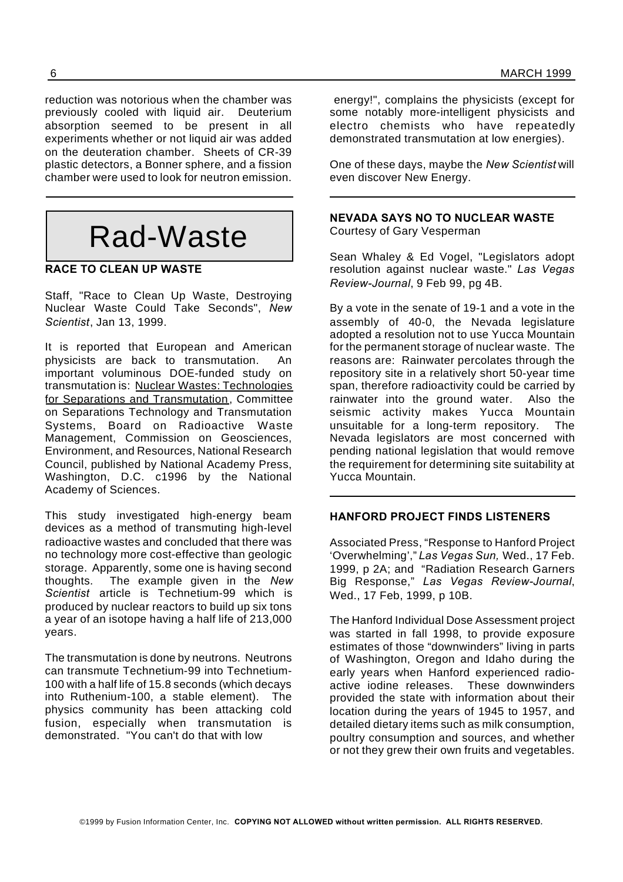reduction was notorious when the chamber was previously cooled with liquid air. Deuterium absorption seemed to be present in all experiments whether or not liquid air was added on the deuteration chamber. Sheets of CR-39 plastic detectors, a Bonner sphere, and a fission chamber were used to look for neutron emission.

# Rad-Waste

#### **RACE TO CLEAN UP WASTE**

Staff, "Race to Clean Up Waste, Destroying Nuclear Waste Could Take Seconds", *New Scientist*, Jan 13, 1999.

It is reported that European and American physicists are back to transmutation. An important voluminous DOE-funded study on transmutation is: Nuclear Wastes: Technologies for Separations and Transmutation, Committee on Separations Technology and Transmutation Systems, Board on Radioactive Waste Management, Commission on Geosciences, Environment, and Resources, National Research Council, published by National Academy Press, Washington, D.C. c1996 by the National Academy of Sciences.

This study investigated high-energy beam devices as a method of transmuting high-level radioactive wastes and concluded that there was no technology more cost-effective than geologic storage. Apparently, some one is having second thoughts. The example given in the *New Scientist* article is Technetium-99 which is produced by nuclear reactors to build up six tons a year of an isotope having a half life of 213,000 years.

The transmutation is done by neutrons. Neutrons can transmute Technetium-99 into Technetium-100 with a half life of 15.8 seconds (which decays into Ruthenium-100, a stable element). The physics community has been attacking cold fusion, especially when transmutation is demonstrated. "You can't do that with low

energy!", complains the physicists (except for some notably more-intelligent physicists and electro chemists who have repeatedly demonstrated transmutation at low energies).

One of these days, maybe the *New Scientist* will even discover New Energy.

**NEVADA SAYS NO TO NUCLEAR WASTE** Courtesy of Gary Vesperman

Sean Whaley & Ed Vogel, "Legislators adopt resolution against nuclear waste." *Las Vegas Review-Journal*, 9 Feb 99, pg 4B.

By a vote in the senate of 19-1 and a vote in the assembly of 40-0, the Nevada legislature adopted a resolution not to use Yucca Mountain for the permanent storage of nuclear waste. The reasons are: Rainwater percolates through the repository site in a relatively short 50-year time span, therefore radioactivity could be carried by rainwater into the ground water. Also the seismic activity makes Yucca Mountain unsuitable for a long-term repository. The Nevada legislators are most concerned with pending national legislation that would remove the requirement for determining site suitability at Yucca Mountain.

#### **HANFORD PROJECT FINDS LISTENERS**

Associated Press, "Response to Hanford Project 'Overwhelming'," *Las Vegas Sun,* Wed., 17 Feb. 1999, p 2A; and "Radiation Research Garners Big Response," *Las Vegas Review-Journal*, Wed., 17 Feb, 1999, p 10B.

The Hanford Individual Dose Assessment project was started in fall 1998, to provide exposure estimates of those "downwinders" living in parts of Washington, Oregon and Idaho during the early years when Hanford experienced radioactive iodine releases. These downwinders provided the state with information about their location during the years of 1945 to 1957, and detailed dietary items such as milk consumption, poultry consumption and sources, and whether or not they grew their own fruits and vegetables.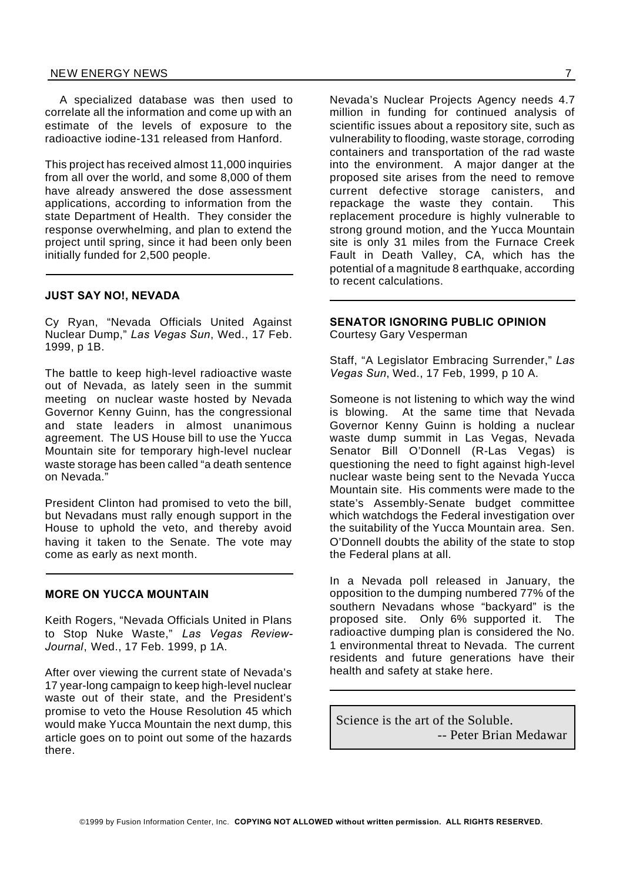A specialized database was then used to correlate all the information and come up with an estimate of the levels of exposure to the radioactive iodine-131 released from Hanford.

This project has received almost 11,000 inquiries from all over the world, and some 8,000 of them have already answered the dose assessment applications, according to information from the state Department of Health. They consider the response overwhelming, and plan to extend the project until spring, since it had been only been initially funded for 2,500 people.

#### **JUST SAY NO!, NEVADA**

Cy Ryan, "Nevada Officials United Against Nuclear Dump," *Las Vegas Sun*, Wed., 17 Feb. 1999, p 1B.

The battle to keep high-level radioactive waste out of Nevada, as lately seen in the summit meeting on nuclear waste hosted by Nevada Governor Kenny Guinn, has the congressional and state leaders in almost unanimous agreement. The US House bill to use the Yucca Mountain site for temporary high-level nuclear waste storage has been called "a death sentence on Nevada."

President Clinton had promised to veto the bill, but Nevadans must rally enough support in the House to uphold the veto, and thereby avoid having it taken to the Senate. The vote may come as early as next month.

#### **MORE ON YUCCA MOUNTAIN**

Keith Rogers, "Nevada Officials United in Plans to Stop Nuke Waste," *Las Vegas Review-Journal*, Wed., 17 Feb. 1999, p 1A.

After over viewing the current state of Nevada's 17 year-long campaign to keep high-level nuclear waste out of their state, and the President's promise to veto the House Resolution 45 which would make Yucca Mountain the next dump, this article goes on to point out some of the hazards there.

Nevada's Nuclear Projects Agency needs 4.7 million in funding for continued analysis of scientific issues about a repository site, such as vulnerability to flooding, waste storage, corroding containers and transportation of the rad waste into the environment. A major danger at the proposed site arises from the need to remove current defective storage canisters, and repackage the waste they contain. This replacement procedure is highly vulnerable to strong ground motion, and the Yucca Mountain site is only 31 miles from the Furnace Creek Fault in Death Valley, CA, which has the potential of a magnitude 8 earthquake, according to recent calculations.

#### **SENATOR IGNORING PUBLIC OPINION**

Courtesy Gary Vesperman

Staff, "A Legislator Embracing Surrender," *Las Vegas Sun*, Wed., 17 Feb, 1999, p 10 A.

Someone is not listening to which way the wind is blowing. At the same time that Nevada Governor Kenny Guinn is holding a nuclear waste dump summit in Las Vegas, Nevada Senator Bill O'Donnell (R-Las Vegas) is questioning the need to fight against high-level nuclear waste being sent to the Nevada Yucca Mountain site. His comments were made to the state's Assembly-Senate budget committee which watchdogs the Federal investigation over the suitability of the Yucca Mountain area. Sen. O'Donnell doubts the ability of the state to stop the Federal plans at all.

In a Nevada poll released in January, the opposition to the dumping numbered 77% of the southern Nevadans whose "backyard" is the proposed site. Only 6% supported it. The radioactive dumping plan is considered the No. 1 environmental threat to Nevada. The current residents and future generations have their health and safety at stake here.

Science is the art of the Soluble. -- Peter Brian Medawar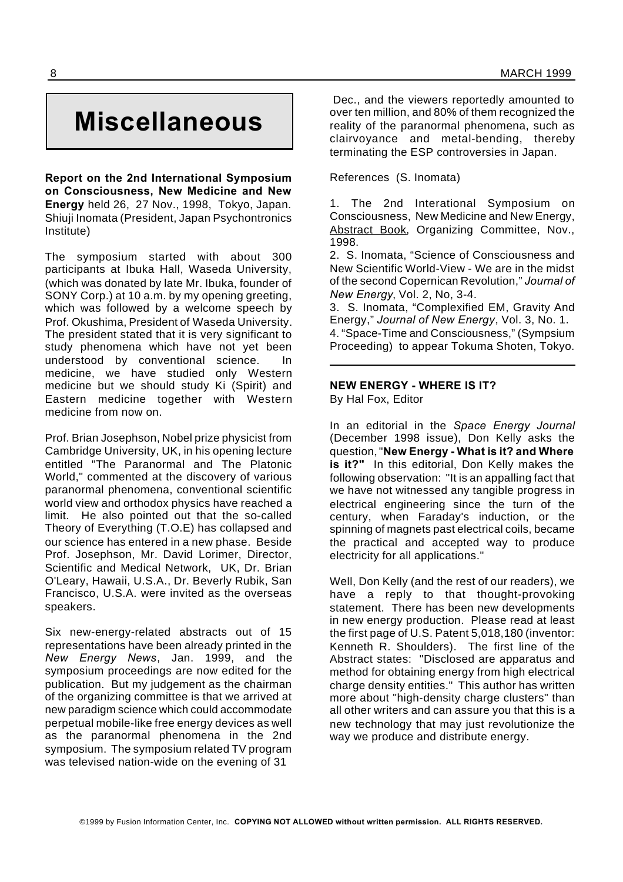# **Miscellaneous**

**Report on the 2nd International Symposium on Consciousness, New Medicine and New Energy** held 26, 27 Nov., 1998, Tokyo, Japan. Shiuji Inomata (President, Japan Psychontronics Institute)

The symposium started with about 300 participants at Ibuka Hall, Waseda University, (which was donated by late Mr. Ibuka, founder of SONY Corp.) at 10 a.m. by my opening greeting, which was followed by a welcome speech by Prof. Okushima, President of Waseda University. The president stated that it is very significant to study phenomena which have not yet been understood by conventional science. In medicine, we have studied only Western medicine but we should study Ki (Spirit) and Eastern medicine together with Western medicine from now on.

Prof. Brian Josephson, Nobel prize physicist from Cambridge University, UK, in his opening lecture entitled "The Paranormal and The Platonic World," commented at the discovery of various paranormal phenomena, conventional scientific world view and orthodox physics have reached a limit. He also pointed out that the so-called Theory of Everything (T.O.E) has collapsed and our science has entered in a new phase. Beside Prof. Josephson, Mr. David Lorimer, Director, Scientific and Medical Network, UK, Dr. Brian O'Leary, Hawaii, U.S.A., Dr. Beverly Rubik, San Francisco, U.S.A. were invited as the overseas speakers.

Six new-energy-related abstracts out of 15 representations have been already printed in the *New Energy News*, Jan. 1999, and the symposium proceedings are now edited for the publication. But my judgement as the chairman of the organizing committee is that we arrived at new paradigm science which could accommodate perpetual mobile-like free energy devices as well as the paranormal phenomena in the 2nd symposium. The symposium related TV program was televised nation-wide on the evening of 31

Dec., and the viewers reportedly amounted to over ten million, and 80% of them recognized the reality of the paranormal phenomena, such as clairvoyance and metal-bending, thereby terminating the ESP controversies in Japan.

References (S. Inomata)

1. The 2nd Interational Symposium on Consciousness, New Medicine and New Energy, Abstract Book, Organizing Committee, Nov., 1998.

2. S. Inomata, "Science of Consciousness and New Scientific World-View - We are in the midst of the second Copernican Revolution," *Journal of New Energy*, Vol. 2, No, 3-4.

3. S. Inomata, "Complexified EM, Gravity And Energy," *Journal of New Energy*, Vol. 3, No. 1. 4. "Space-Time and Consciousness," (Sympsium Proceeding) to appear Tokuma Shoten, Tokyo.

### **NEW ENERGY - WHERE IS IT?**

By Hal Fox, Editor

In an editorial in the *Space Energy Journal* (December 1998 issue), Don Kelly asks the question,"**New Energy - What is it? and Where is it?"** In this editorial, Don Kelly makes the following observation: "It is an appalling fact that we have not witnessed any tangible progress in electrical engineering since the turn of the century, when Faraday's induction, or the spinning of magnets past electrical coils, became the practical and accepted way to produce electricity for all applications."

Well, Don Kelly (and the rest of our readers), we have a reply to that thought-provoking statement. There has been new developments in new energy production. Please read at least the first page of U.S. Patent 5,018,180 (inventor: Kenneth R. Shoulders). The first line of the Abstract states: "Disclosed are apparatus and method for obtaining energy from high electrical charge density entities." This author has written more about "high-density charge clusters" than all other writers and can assure you that this is a new technology that may just revolutionize the way we produce and distribute energy.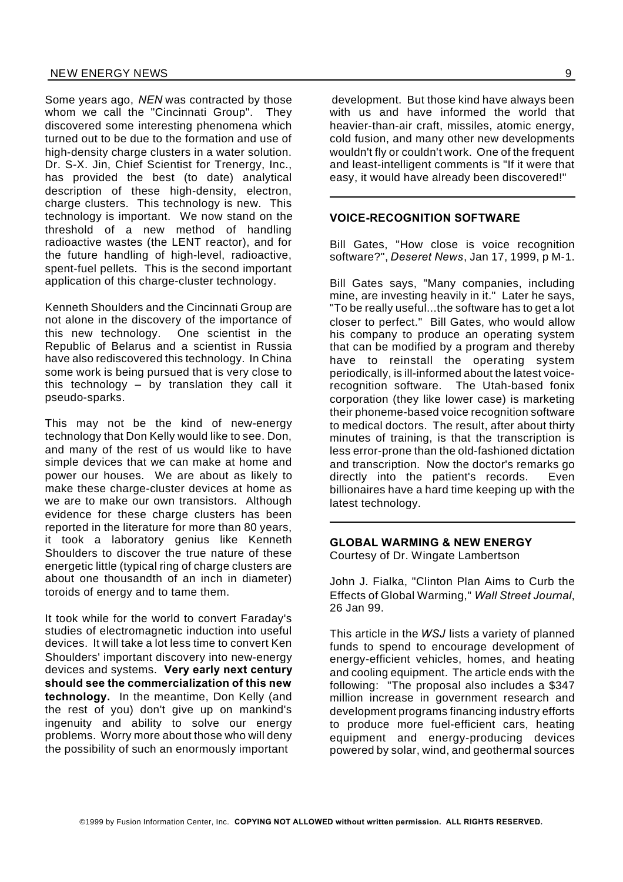Some years ago, *NEN* was contracted by those whom we call the "Cincinnati Group". They discovered some interesting phenomena which turned out to be due to the formation and use of high-density charge clusters in a water solution. Dr. S-X. Jin, Chief Scientist for Trenergy, Inc., has provided the best (to date) analytical description of these high-density, electron, charge clusters. This technology is new. This technology is important. We now stand on the threshold of a new method of handling radioactive wastes (the LENT reactor), and for the future handling of high-level, radioactive, spent-fuel pellets. This is the second important application of this charge-cluster technology.

Kenneth Shoulders and the Cincinnati Group are not alone in the discovery of the importance of this new technology. One scientist in the Republic of Belarus and a scientist in Russia have also rediscovered this technology. In China some work is being pursued that is very close to this technology – by translation they call it pseudo-sparks.

This may not be the kind of new-energy technology that Don Kelly would like to see. Don, and many of the rest of us would like to have simple devices that we can make at home and power our houses. We are about as likely to make these charge-cluster devices at home as we are to make our own transistors. Although evidence for these charge clusters has been reported in the literature for more than 80 years, it took a laboratory genius like Kenneth Shoulders to discover the true nature of these energetic little (typical ring of charge clusters are about one thousandth of an inch in diameter) toroids of energy and to tame them.

It took while for the world to convert Faraday's studies of electromagnetic induction into useful devices. It will take a lot less time to convert Ken Shoulders' important discovery into new-energy devices and systems. **Very early next century should see the commercialization of this new technology.** In the meantime, Don Kelly (and the rest of you) don't give up on mankind's ingenuity and ability to solve our energy problems. Worry more about those who will deny the possibility of such an enormously important

development. But those kind have always been with us and have informed the world that heavier-than-air craft, missiles, atomic energy, cold fusion, and many other new developments wouldn't fly or couldn't work. One of the frequent and least-intelligent comments is "If it were that easy, it would have already been discovered!"

#### **VOICE-RECOGNITION SOFTWARE**

Bill Gates, "How close is voice recognition software?", *Deseret News*, Jan 17, 1999, p M-1.

Bill Gates says, "Many companies, including mine, are investing heavily in it." Later he says, "To be really useful...the software has to get a lot closer to perfect." Bill Gates, who would allow his company to produce an operating system that can be modified by a program and thereby have to reinstall the operating system periodically, is ill-informed about the latest voicerecognition software. The Utah-based fonix corporation (they like lower case) is marketing their phoneme-based voice recognition software to medical doctors. The result, after about thirty minutes of training, is that the transcription is less error-prone than the old-fashioned dictation and transcription. Now the doctor's remarks go directly into the patient's records. Even billionaires have a hard time keeping up with the latest technology.

### **GLOBAL WARMING & NEW ENERGY**

Courtesy of Dr. Wingate Lambertson

John J. Fialka, "Clinton Plan Aims to Curb the Effects of Global Warming," *Wall Street Journal*, 26 Jan 99.

This article in the *WSJ* lists a variety of planned funds to spend to encourage development of energy-efficient vehicles, homes, and heating and cooling equipment. The article ends with the following: "The proposal also includes a \$347 million increase in government research and development programs financing industry efforts to produce more fuel-efficient cars, heating equipment and energy-producing devices powered by solar, wind, and geothermal sources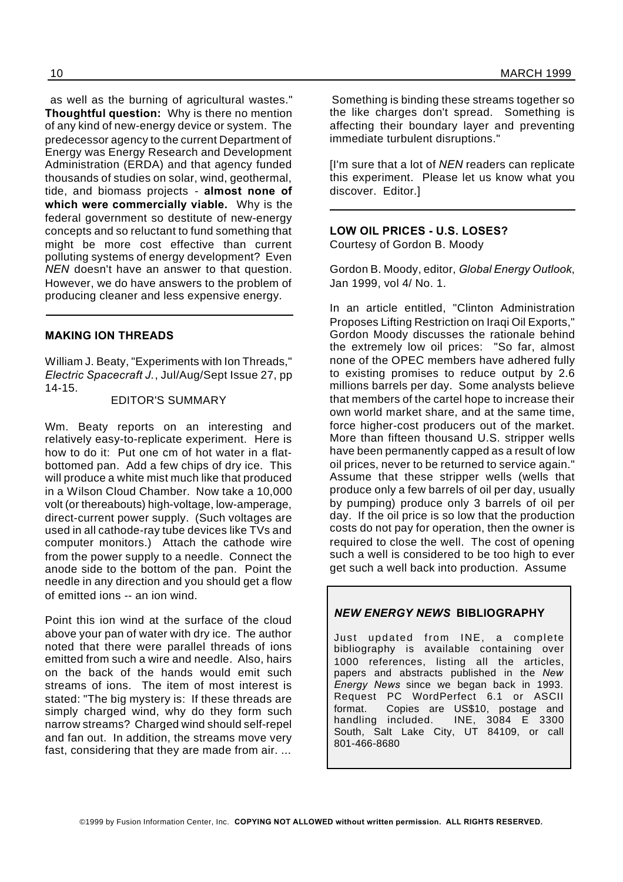as well as the burning of agricultural wastes." **Thoughtful question:** Why is there no mention of any kind of new-energy device or system. The predecessor agency to the current Department of Energy was Energy Research and Development Administration (ERDA) and that agency funded thousands of studies on solar, wind, geothermal, tide, and biomass projects - **almost none of which were commercially viable.** Why is the federal government so destitute of new-energy concepts and so reluctant to fund something that might be more cost effective than current polluting systems of energy development? Even *NEN* doesn't have an answer to that question. However, we do have answers to the problem of producing cleaner and less expensive energy.

#### **MAKING ION THREADS**

William J. Beaty, "Experiments with Ion Threads," *Electric Spacecraft J.*, Jul/Aug/Sept Issue 27, pp 14-15.

#### EDITOR'S SUMMARY

Wm. Beaty reports on an interesting and relatively easy-to-replicate experiment. Here is how to do it: Put one cm of hot water in a flatbottomed pan. Add a few chips of dry ice. This will produce a white mist much like that produced in a Wilson Cloud Chamber. Now take a 10,000 volt (or thereabouts) high-voltage, low-amperage, direct-current power supply. (Such voltages are used in all cathode-ray tube devices like TVs and computer monitors.) Attach the cathode wire from the power supply to a needle. Connect the anode side to the bottom of the pan. Point the needle in any direction and you should get a flow of emitted ions -- an ion wind.

Point this ion wind at the surface of the cloud above your pan of water with dry ice. The author noted that there were parallel threads of ions emitted from such a wire and needle. Also, hairs on the back of the hands would emit such streams of ions. The item of most interest is stated: "The big mystery is: If these threads are simply charged wind, why do they form such narrow streams? Charged wind should self-repel and fan out. In addition, the streams move very fast, considering that they are made from air. ...

Something is binding these streams together so the like charges don't spread. Something is affecting their boundary layer and preventing immediate turbulent disruptions."

[I'm sure that a lot of *NEN* readers can replicate this experiment. Please let us know what you discover. Editor.]

**LOW OIL PRICES - U.S. LOSES?** Courtesy of Gordon B. Moody

Gordon B. Moody, editor, *Global Energy Outlook*, Jan 1999, vol 4/ No. 1.

In an article entitled, "Clinton Administration Proposes Lifting Restriction on Iraqi Oil Exports," Gordon Moody discusses the rationale behind the extremely low oil prices: "So far, almost none of the OPEC members have adhered fully to existing promises to reduce output by 2.6 millions barrels per day. Some analysts believe that members of the cartel hope to increase their own world market share, and at the same time, force higher-cost producers out of the market. More than fifteen thousand U.S. stripper wells have been permanently capped as a result of low oil prices, never to be returned to service again." Assume that these stripper wells (wells that produce only a few barrels of oil per day, usually by pumping) produce only 3 barrels of oil per day. If the oil price is so low that the production costs do not pay for operation, then the owner is required to close the well. The cost of opening such a well is considered to be too high to ever get such a well back into production. Assume

#### *NEW ENERGY NEWS* **BIBLIOGRAPHY**

Just updated from INE, a complete bibliography is available containing over 1000 references, listing all the articles, papers and abstracts published in the *New Energy News* since we began back in 1993. Request PC WordPerfect 6.1 or ASCII format. Copies are US\$10, postage and handling included. INE, 3084 E 3300 South, Salt Lake City, UT 84109, or call 801-466-8680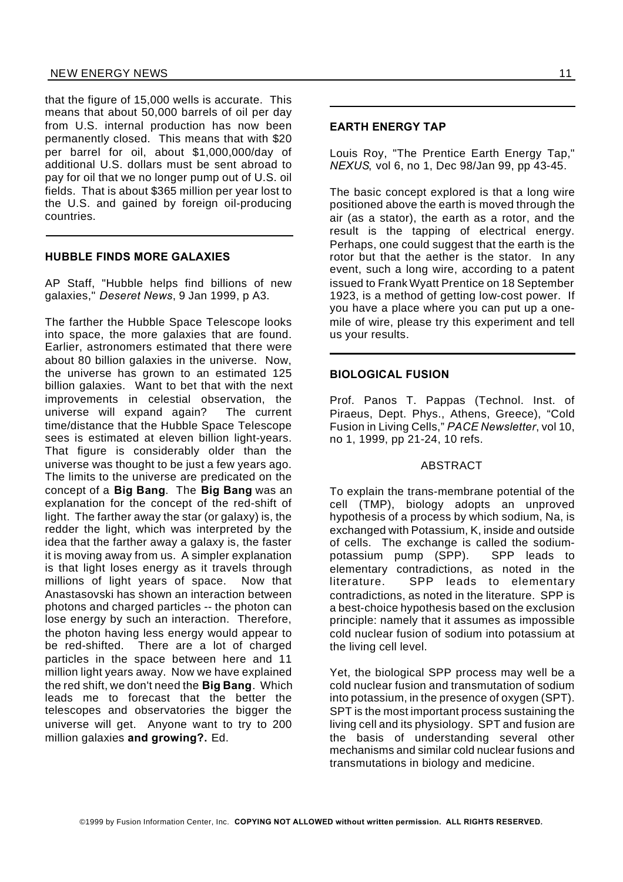#### NEW ENERGY NEWS 11

that the figure of 15,000 wells is accurate. This means that about 50,000 barrels of oil per day from U.S. internal production has now been permanently closed. This means that with \$20 per barrel for oil, about \$1,000,000/day of additional U.S. dollars must be sent abroad to pay for oil that we no longer pump out of U.S. oil fields. That is about \$365 million per year lost to the U.S. and gained by foreign oil-producing countries.

#### **HUBBLE FINDS MORE GALAXIES**

AP Staff, "Hubble helps find billions of new galaxies," *Deseret News*, 9 Jan 1999, p A3.

The farther the Hubble Space Telescope looks into space, the more galaxies that are found. Earlier, astronomers estimated that there were about 80 billion galaxies in the universe. Now, the universe has grown to an estimated 125 billion galaxies. Want to bet that with the next improvements in celestial observation, the universe will expand again? The current time/distance that the Hubble Space Telescope sees is estimated at eleven billion light-years. That figure is considerably older than the universe was thought to be just a few years ago. The limits to the universe are predicated on the concept of a **Big Bang**. The **Big Bang** was an explanation for the concept of the red-shift of light. The farther away the star (or galaxy) is, the redder the light, which was interpreted by the idea that the farther away a galaxy is, the faster it is moving away from us. A simpler explanation is that light loses energy as it travels through millions of light years of space. Now that Anastasovski has shown an interaction between photons and charged particles -- the photon can lose energy by such an interaction. Therefore, the photon having less energy would appear to be red-shifted. There are a lot of charged particles in the space between here and 11 million light years away. Now we have explained the red shift, we don't need the **Big Bang**. Which leads me to forecast that the better the telescopes and observatories the bigger the universe will get. Anyone want to try to 200 million galaxies **and growing?.** Ed.

#### **EARTH ENERGY TAP**

Louis Roy, "The Prentice Earth Energy Tap," *NEXUS*, vol 6, no 1, Dec 98/Jan 99, pp 43-45.

The basic concept explored is that a long wire positioned above the earth is moved through the air (as a stator), the earth as a rotor, and the result is the tapping of electrical energy. Perhaps, one could suggest that the earth is the rotor but that the aether is the stator. In any event, such a long wire, according to a patent issued to Frank Wyatt Prentice on 18 September 1923, is a method of getting low-cost power. If you have a place where you can put up a onemile of wire, please try this experiment and tell us your results.

#### **BIOLOGICAL FUSION**

Prof. Panos T. Pappas (Technol. Inst. of Piraeus, Dept. Phys., Athens, Greece), "Cold Fusion in Living Cells," *PACE Newsletter*, vol 10, no 1, 1999, pp 21-24, 10 refs.

#### ABSTRACT

To explain the trans-membrane potential of the cell (TMP), biology adopts an unproved hypothesis of a process by which sodium, Na, is exchanged with Potassium, K, inside and outside of cells. The exchange is called the sodiumpotassium pump (SPP). SPP leads to elementary contradictions, as noted in the literature. SPP leads to elementary contradictions, as noted in the literature. SPP is a best-choice hypothesis based on the exclusion principle: namely that it assumes as impossible cold nuclear fusion of sodium into potassium at the living cell level.

Yet, the biological SPP process may well be a cold nuclear fusion and transmutation of sodium into potassium, in the presence of oxygen (SPT). SPT is the most important process sustaining the living cell and its physiology. SPT and fusion are the basis of understanding several other mechanisms and similar cold nuclear fusions and transmutations in biology and medicine.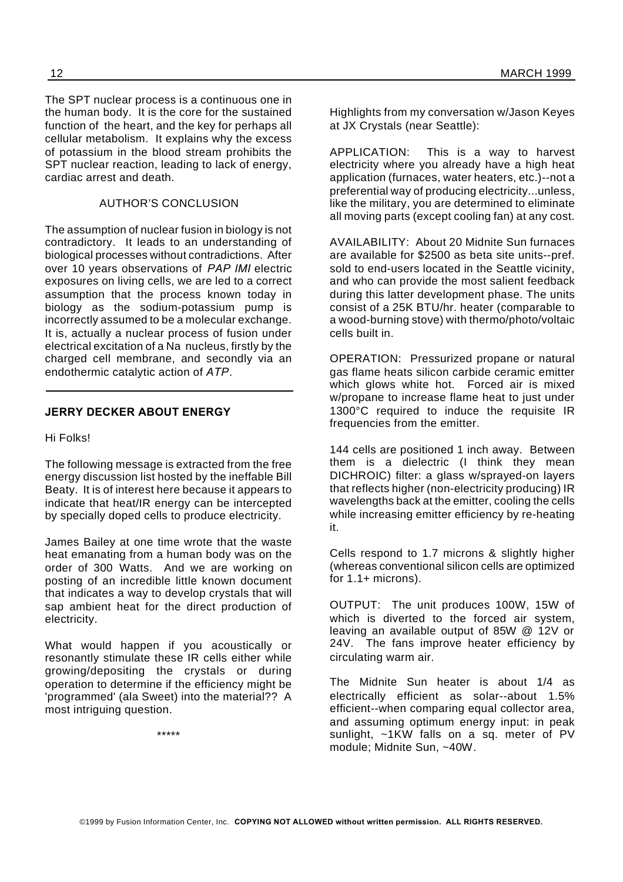The SPT nuclear process is a continuous one in the human body. It is the core for the sustained function of the heart, and the key for perhaps all cellular metabolism. It explains why the excess of potassium in the blood stream prohibits the SPT nuclear reaction, leading to lack of energy, cardiac arrest and death.

### AUTHOR'S CONCLUSION

The assumption of nuclear fusion in biology is not contradictory. It leads to an understanding of biological processes without contradictions. After over 10 years observations of *PAP IMI* electric exposures on living cells, we are led to a correct assumption that the process known today in biology as the sodium-potassium pump is incorrectly assumed to be a molecular exchange. It is, actually a nuclear process of fusion under electrical excitation of a Na nucleus, firstly by the charged cell membrane, and secondly via an endothermic catalytic action of *ATP*.

### **JERRY DECKER ABOUT ENERGY**

Hi Folks!

The following message is extracted from the free energy discussion list hosted by the ineffable Bill Beaty. It is of interest here because it appears to indicate that heat/IR energy can be intercepted by specially doped cells to produce electricity.

James Bailey at one time wrote that the waste heat emanating from a human body was on the order of 300 Watts. And we are working on posting of an incredible little known document that indicates a way to develop crystals that will sap ambient heat for the direct production of electricity.

What would happen if you acoustically or resonantly stimulate these IR cells either while growing/depositing the crystals or during operation to determine if the efficiency might be 'programmed' (ala Sweet) into the material?? A most intriguing question.

\*\*\*\*\*

Highlights from my conversation w/Jason Keyes at JX Crystals (near Seattle):

APPLICATION: This is a way to harvest electricity where you already have a high heat application (furnaces, water heaters, etc.)--not a preferential way of producing electricity...unless, like the military, you are determined to eliminate all moving parts (except cooling fan) at any cost.

AVAILABILITY: About 20 Midnite Sun furnaces are available for \$2500 as beta site units--pref. sold to end-users located in the Seattle vicinity, and who can provide the most salient feedback during this latter development phase. The units consist of a 25K BTU/hr. heater (comparable to a wood-burning stove) with thermo/photo/voltaic cells built in.

OPERATION: Pressurized propane or natural gas flame heats silicon carbide ceramic emitter which glows white hot. Forced air is mixed w/propane to increase flame heat to just under 1300°C required to induce the requisite IR frequencies from the emitter.

144 cells are positioned 1 inch away. Between them is a dielectric (I think they mean DICHROIC) filter: a glass w/sprayed-on layers that reflects higher (non-electricity producing) IR wavelengths back at the emitter, cooling the cells while increasing emitter efficiency by re-heating it.

Cells respond to 1.7 microns & slightly higher (whereas conventional silicon cells are optimized for  $1.1+$  microns).

OUTPUT: The unit produces 100W, 15W of which is diverted to the forced air system, leaving an available output of 85W @ 12V or 24V. The fans improve heater efficiency by circulating warm air.

The Midnite Sun heater is about 1/4 as electrically efficient as solar--about 1.5% efficient--when comparing equal collector area, and assuming optimum energy input: in peak sunlight,  $\sim$ 1KW falls on a sq. meter of PV module; Midnite Sun, ~40W.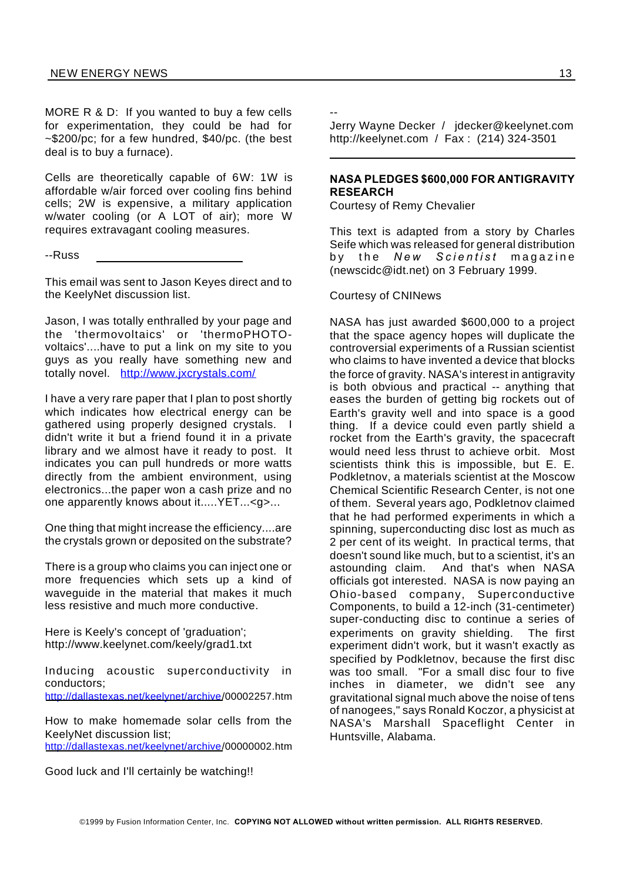MORE R & D: If you wanted to buy a few cells for experimentation, they could be had for ~\$200/pc; for a few hundred, \$40/pc. (the best deal is to buy a furnace).

Cells are theoretically capable of 6W: 1W is affordable w/air forced over cooling fins behind cells; 2W is expensive, a military application w/water cooling (or A LOT of air); more W requires extravagant cooling measures.

--Russ

This email was sent to Jason Keyes direct and to the KeelyNet discussion list.

Jason, I was totally enthralled by your page and the 'thermovoltaics' or 'thermoPHOTOvoltaics'....have to put a link on my site to you guys as you really have something new and totally novel. http://www.jxcrystals.com/

I have a very rare paper that I plan to post shortly which indicates how electrical energy can be gathered using properly designed crystals. I didn't write it but a friend found it in a private library and we almost have it ready to post. It indicates you can pull hundreds or more watts directly from the ambient environment, using electronics...the paper won a cash prize and no one apparently knows about it.....YET...<g>...

One thing that might increase the efficiency....are the crystals grown or deposited on the substrate?

There is a group who claims you can inject one or more frequencies which sets up a kind of waveguide in the material that makes it much less resistive and much more conductive.

Here is Keely's concept of 'graduation'; http://www.keelynet.com/keely/grad1.txt

Inducing acoustic superconductivity in conductors; http://dallastexas.net/keelynet/archive/00002257.htm

How to make homemade solar cells from the KeelyNet discussion list; http://dallastexas.net/keelynet/archive/00000002.htm

Good luck and I'll certainly be watching!!

--

Jerry Wayne Decker / jdecker@keelynet.com http://keelynet.com / Fax : (214) 324-3501

#### **NASA PLEDGES \$600,000 FOR ANTIGRAVITY RESEARCH**

Courtesy of Remy Chevalier

This text is adapted from a story by Charles Seife which was released for general distribution by the *New Scientist* magazine (newscidc@idt.net) on 3 February 1999.

#### Courtesy of CNINews

NASA has just awarded \$600,000 to a project that the space agency hopes will duplicate the controversial experiments of a Russian scientist who claims to have invented a device that blocks the force of gravity. NASA's interest in antigravity is both obvious and practical -- anything that eases the burden of getting big rockets out of Earth's gravity well and into space is a good thing. If a device could even partly shield a rocket from the Earth's gravity, the spacecraft would need less thrust to achieve orbit. Most scientists think this is impossible, but E. E. Podkletnov, a materials scientist at the Moscow Chemical Scientific Research Center, is not one of them. Several years ago, Podkletnov claimed that he had performed experiments in which a spinning, superconducting disc lost as much as 2 per cent of its weight. In practical terms, that doesn't sound like much, but to a scientist, it's an astounding claim. And that's when NASA officials got interested. NASA is now paying an Ohio-based company, Superconductive Components, to build a 12-inch (31-centimeter) super-conducting disc to continue a series of experiments on gravity shielding. The first experiment didn't work, but it wasn't exactly as specified by Podkletnov, because the first disc was too small. "For a small disc four to five inches in diameter, we didn't see any gravitational signal much above the noise of tens of nanogees," says Ronald Koczor, a physicist at NASA's Marshall Spaceflight Center in Huntsville, Alabama.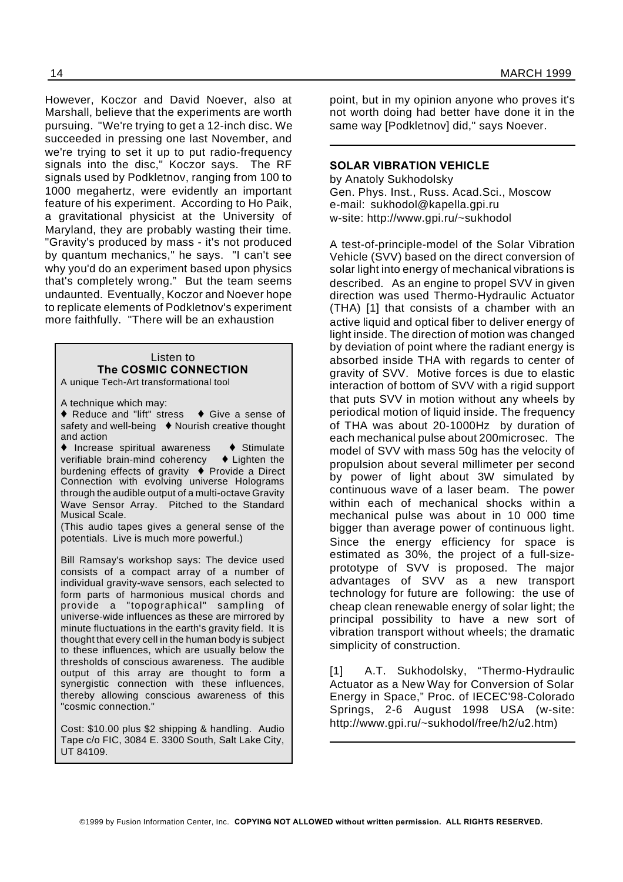However, Koczor and David Noever, also at Marshall, believe that the experiments are worth pursuing. "We're trying to get a 12-inch disc. We succeeded in pressing one last November, and we're trying to set it up to put radio-frequency signals into the disc," Koczor says. The RF signals used by Podkletnov, ranging from 100 to 1000 megahertz, were evidently an important feature of his experiment. According to Ho Paik, a gravitational physicist at the University of Maryland, they are probably wasting their time. "Gravity's produced by mass - it's not produced by quantum mechanics," he says. "I can't see why you'd do an experiment based upon physics that's completely wrong." But the team seems undaunted. Eventually, Koczor and Noever hope to replicate elements of Podkletnov's experiment more faithfully. "There will be an exhaustion

#### Listen to **The COSMIC CONNECTION** A unique Tech-Art transformational tool

A technique which may:

 $\triangle$  Reduce and "lift" stress  $\triangle$  Give a sense of safety and well-being  $\bullet$  Nourish creative thought and action

 $\blacklozenge$  Increase spiritual awareness  $\blacklozenge$  Stimulate verifiable brain-mind coherency  $\blacklozenge$  Lighten the burdening effects of gravity  $\blacklozenge$  Provide a Direct Connection with evolving universe Holograms through the audible output of a multi-octave Gravity Wave Sensor Array. Pitched to the Standard Musical Scale.

(This audio tapes gives a general sense of the potentials. Live is much more powerful.)

Bill Ramsay's workshop says: The device used consists of a compact array of a number of individual gravity-wave sensors, each selected to form parts of harmonious musical chords and provide a "topographical" sampling of universe-wide influences as these are mirrored by minute fluctuations in the earth's gravity field. It is thought that every cell in the human body is subject to these influences, which are usually below the thresholds of conscious awareness. The audible output of this array are thought to form a synergistic connection with these influences, thereby allowing conscious awareness of this "cosmic connection."

Cost: \$10.00 plus \$2 shipping & handling. Audio Tape c/o FIC, 3084 E. 3300 South, Salt Lake City, UT 84109.

point, but in my opinion anyone who proves it's not worth doing had better have done it in the same way [Podkletnov] did," says Noever.

#### **SOLAR VIBRATION VEHICLE**

by Anatoly Sukhodolsky Gen. Phys. Inst., Russ. Acad.Sci., Moscow e-mail: sukhodol@kapella.gpi.ru w-site: http://www.gpi.ru/~sukhodol

A test-of-principle-model of the Solar Vibration Vehicle (SVV) based on the direct conversion of solar light into energy of mechanical vibrations is described. As an engine to propel SVV in given direction was used Thermo-Hydraulic Actuator (THA) [1] that consists of a chamber with an active liquid and optical fiber to deliver energy of light inside. The direction of motion was changed by deviation of point where the radiant energy is absorbed inside THA with regards to center of gravity of SVV. Motive forces is due to elastic interaction of bottom of SVV with a rigid support that puts SVV in motion without any wheels by periodical motion of liquid inside. The frequency of THA was about 20-1000Hz by duration of each mechanical pulse about 200microsec. The model of SVV with mass 50g has the velocity of propulsion about several millimeter per second by power of light about 3W simulated by continuous wave of a laser beam. The power within each of mechanical shocks within a mechanical pulse was about in 10 000 time bigger than average power of continuous light. Since the energy efficiency for space is estimated as 30%, the project of a full-sizeprototype of SVV is proposed. The major advantages of SVV as a new transport technology for future are following: the use of cheap clean renewable energy of solar light; the principal possibility to have a new sort of vibration transport without wheels; the dramatic simplicity of construction.

[1] A.T. Sukhodolsky, "Thermo-Hydraulic Actuator as a New Way for Conversion of Solar Energy in Space," Proc. of IECEC'98-Colorado Springs, 2-6 August 1998 USA (w-site: http://www.gpi.ru/~sukhodol/free/h2/u2.htm)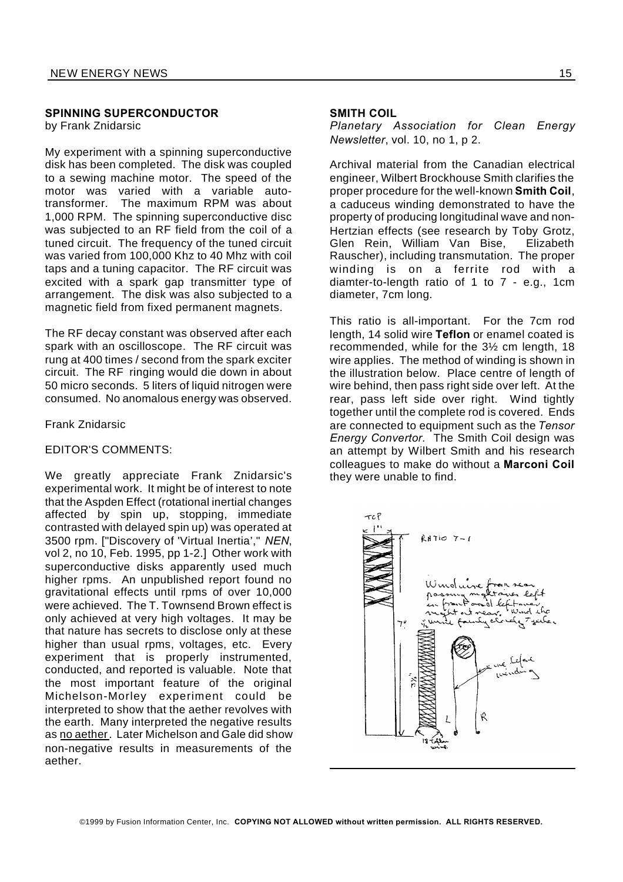#### **SPINNING SUPERCONDUCTOR**

by Frank Znidarsic

My experiment with a spinning superconductive disk has been completed. The disk was coupled to a sewing machine motor. The speed of the motor was varied with a variable autotransformer. The maximum RPM was about 1,000 RPM. The spinning superconductive disc was subjected to an RF field from the coil of a tuned circuit. The frequency of the tuned circuit was varied from 100,000 Khz to 40 Mhz with coil taps and a tuning capacitor. The RF circuit was excited with a spark gap transmitter type of arrangement. The disk was also subjected to a magnetic field from fixed permanent magnets.

The RF decay constant was observed after each spark with an oscilloscope. The RF circuit was rung at 400 times / second from the spark exciter circuit. The RF ringing would die down in about 50 micro seconds. 5 liters of liquid nitrogen were consumed. No anomalous energy was observed.

#### Frank Znidarsic

#### EDITOR'S COMMENTS:

We greatly appreciate Frank Znidarsic's experimental work. It might be of interest to note that the Aspden Effect (rotational inertial changes affected by spin up, stopping, immediate contrasted with delayed spin up) was operated at 3500 rpm. ["Discovery of 'Virtual Inertia'," *NEN*, vol 2, no 10, Feb. 1995, pp 1-2.] Other work with superconductive disks apparently used much higher rpms. An unpublished report found no gravitational effects until rpms of over 10,000 were achieved. The T. Townsend Brown effect is only achieved at very high voltages. It may be that nature has secrets to disclose only at these higher than usual rpms, voltages, etc. Every experiment that is properly instrumented, conducted, and reported is valuable. Note that the most important feature of the original Michelson-Morley experiment could be interpreted to show that the aether revolves with the earth. Many interpreted the negative results as no aether. Later Michelson and Gale did show non-negative results in measurements of the aether.

#### **SMITH COIL**

*Planetary Association for Clean Energy Newsletter*, vol. 10, no 1, p 2.

Archival material from the Canadian electrical engineer, Wilbert Brockhouse Smith clarifies the proper procedure for the well-known **Smith Coil**, a caduceus winding demonstrated to have the property of producing longitudinal wave and non-Hertzian effects (see research by Toby Grotz, Glen Rein, William Van Bise, Elizabeth Rauscher), including transmutation. The proper winding is on a ferrite rod with a diamter-to-length ratio of 1 to 7 - e.g., 1cm diameter, 7cm long.

This ratio is all-important. For the 7cm rod length, 14 solid wire **Teflon** or enamel coated is recommended, while for the 3½ cm length, 18 wire applies. The method of winding is shown in the illustration below. Place centre of length of wire behind, then pass right side over left. At the rear, pass left side over right. Wind tightly together until the complete rod is covered. Ends are connected to equipment such as the *Tensor Energy Convertor.* The Smith Coil design was an attempt by Wilbert Smith and his research colleagues to make do without a **Marconi Coil** they were unable to find.

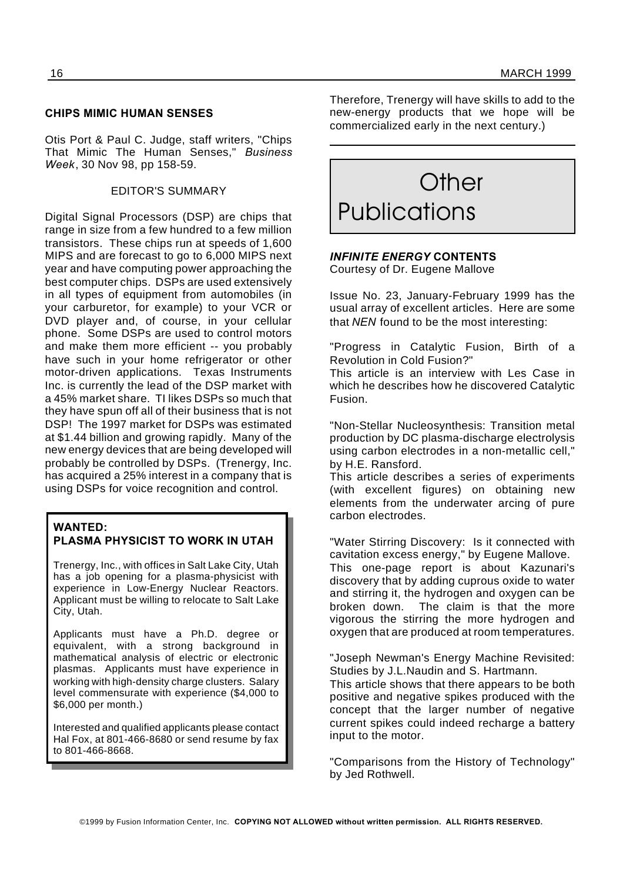#### **CHIPS MIMIC HUMAN SENSES**

Otis Port & Paul C. Judge, staff writers, "Chips That Mimic The Human Senses," *Business Week*, 30 Nov 98, pp 158-59.

#### EDITOR'S SUMMARY

Digital Signal Processors (DSP) are chips that range in size from a few hundred to a few million transistors. These chips run at speeds of 1,600 MIPS and are forecast to go to 6,000 MIPS next year and have computing power approaching the best computer chips. DSPs are used extensively in all types of equipment from automobiles (in your carburetor, for example) to your VCR or DVD player and, of course, in your cellular phone. Some DSPs are used to control motors and make them more efficient -- you probably have such in your home refrigerator or other motor-driven applications. Texas Instruments Inc. is currently the lead of the DSP market with a 45% market share. TI likes DSPs so much that they have spun off all of their business that is not DSP! The 1997 market for DSPs was estimated at \$1.44 billion and growing rapidly. Many of the new energy devices that are being developed will probably be controlled by DSPs. (Trenergy, Inc. has acquired a 25% interest in a company that is using DSPs for voice recognition and control.

#### **WANTED:**

#### **PLASMA PHYSICIST TO WORK IN UTAH**

Trenergy, Inc., with offices in Salt Lake City, Utah has a job opening for a plasma-physicist with experience in Low-Energy Nuclear Reactors. Applicant must be willing to relocate to Salt Lake City, Utah.

Applicants must have a Ph.D. degree or equivalent, with a strong background in mathematical analysis of electric or electronic plasmas. Applicants must have experience in working with high-density charge clusters. Salary level commensurate with experience (\$4,000 to \$6,000 per month.)

Interested and qualified applicants please contact Hal Fox, at 801-466-8680 or send resume by fax to 801-466-8668.

Therefore, Trenergy will have skills to add to the new-energy products that we hope will be commercialized early in the next century.)

# **Other** Publications

### *INFINITE ENERGY* **CONTENTS**

Courtesy of Dr. Eugene Mallove

Issue No. 23, January-February 1999 has the usual array of excellent articles. Here are some that *NEN* found to be the most interesting:

"Progress in Catalytic Fusion, Birth of a Revolution in Cold Fusion?"

This article is an interview with Les Case in which he describes how he discovered Catalytic Fusion.

"Non-Stellar Nucleosynthesis: Transition metal production by DC plasma-discharge electrolysis using carbon electrodes in a non-metallic cell," by H.E. Ransford.

This article describes a series of experiments (with excellent figures) on obtaining new elements from the underwater arcing of pure carbon electrodes.

"Water Stirring Discovery: Is it connected with cavitation excess energy," by Eugene Mallove.

This one-page report is about Kazunari's discovery that by adding cuprous oxide to water and stirring it, the hydrogen and oxygen can be broken down. The claim is that the more vigorous the stirring the more hydrogen and oxygen that are produced at room temperatures.

"Joseph Newman's Energy Machine Revisited: Studies by J.L.Naudin and S. Hartmann.

This article shows that there appears to be both positive and negative spikes produced with the concept that the larger number of negative current spikes could indeed recharge a battery input to the motor.

"Comparisons from the History of Technology" by Jed Rothwell.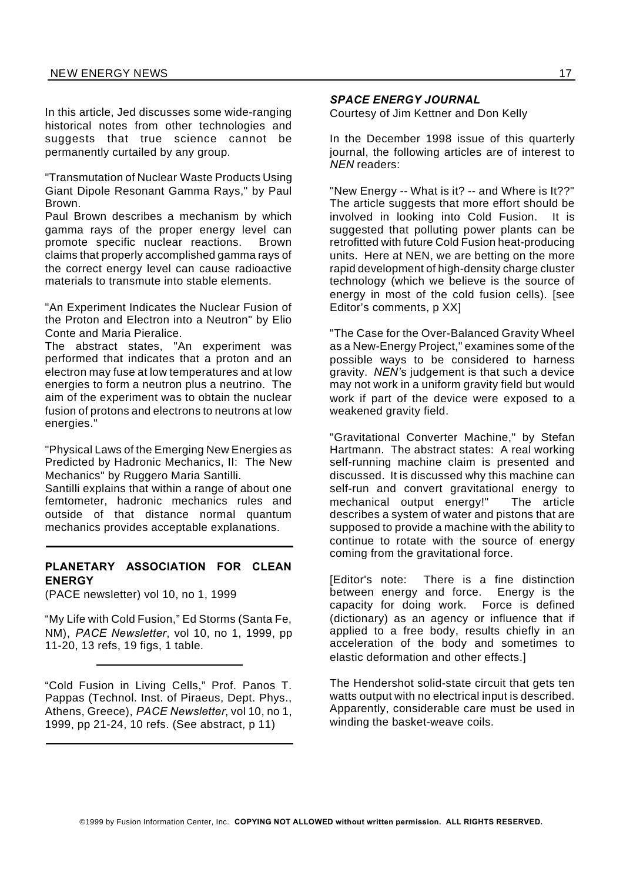In this article, Jed discusses some wide-ranging historical notes from other technologies and suggests that true science cannot be permanently curtailed by any group.

"Transmutation of Nuclear Waste Products Using Giant Dipole Resonant Gamma Rays," by Paul Brown.

Paul Brown describes a mechanism by which gamma rays of the proper energy level can promote specific nuclear reactions. Brown claims that properly accomplished gamma rays of the correct energy level can cause radioactive materials to transmute into stable elements.

"An Experiment Indicates the Nuclear Fusion of the Proton and Electron into a Neutron" by Elio Conte and Maria Pieralice.

The abstract states, "An experiment was performed that indicates that a proton and an electron may fuse at low temperatures and at low energies to form a neutron plus a neutrino. The aim of the experiment was to obtain the nuclear fusion of protons and electrons to neutrons at low energies."

"Physical Laws of the Emerging New Energies as Predicted by Hadronic Mechanics, II: The New Mechanics" by Ruggero Maria Santilli. Santilli explains that within a range of about one

femtometer, hadronic mechanics rules and outside of that distance normal quantum mechanics provides acceptable explanations.

#### **PLANETARY ASSOCIATION FOR CLEAN ENERGY**

(PACE newsletter) vol 10, no 1, 1999

"My Life with Cold Fusion," Ed Storms (Santa Fe, NM), *PACE Newsletter*, vol 10, no 1, 1999, pp 11-20, 13 refs, 19 figs, 1 table.

"Cold Fusion in Living Cells," Prof. Panos T. Pappas (Technol. Inst. of Piraeus, Dept. Phys., Athens, Greece), *PACE Newsletter*, vol 10, no 1, 1999, pp 21-24, 10 refs. (See abstract, p 11)

#### *SPACE ENERGY JOURNAL*

Courtesy of Jim Kettner and Don Kelly

In the December 1998 issue of this quarterly journal, the following articles are of interest to *NEN* readers:

"New Energy -- What is it? -- and Where is It??" The article suggests that more effort should be involved in looking into Cold Fusion. It is suggested that polluting power plants can be retrofitted with future Cold Fusion heat-producing units. Here at NEN, we are betting on the more rapid development of high-density charge cluster technology (which we believe is the source of energy in most of the cold fusion cells). [see Editor's comments, p XX]

"The Case for the Over-Balanced Gravity Wheel as a New-Energy Project," examines some of the possible ways to be considered to harness gravity. *NEN'*s judgement is that such a device may not work in a uniform gravity field but would work if part of the device were exposed to a weakened gravity field.

"Gravitational Converter Machine," by Stefan Hartmann. The abstract states: A real working self-running machine claim is presented and discussed. It is discussed why this machine can self-run and convert gravitational energy to mechanical output energy!" The article describes a system of water and pistons that are supposed to provide a machine with the ability to continue to rotate with the source of energy coming from the gravitational force.

[Editor's note: There is a fine distinction between energy and force. Energy is the capacity for doing work. Force is defined (dictionary) as an agency or influence that if applied to a free body, results chiefly in an acceleration of the body and sometimes to elastic deformation and other effects.]

The Hendershot solid-state circuit that gets ten watts output with no electrical input is described. Apparently, considerable care must be used in winding the basket-weave coils.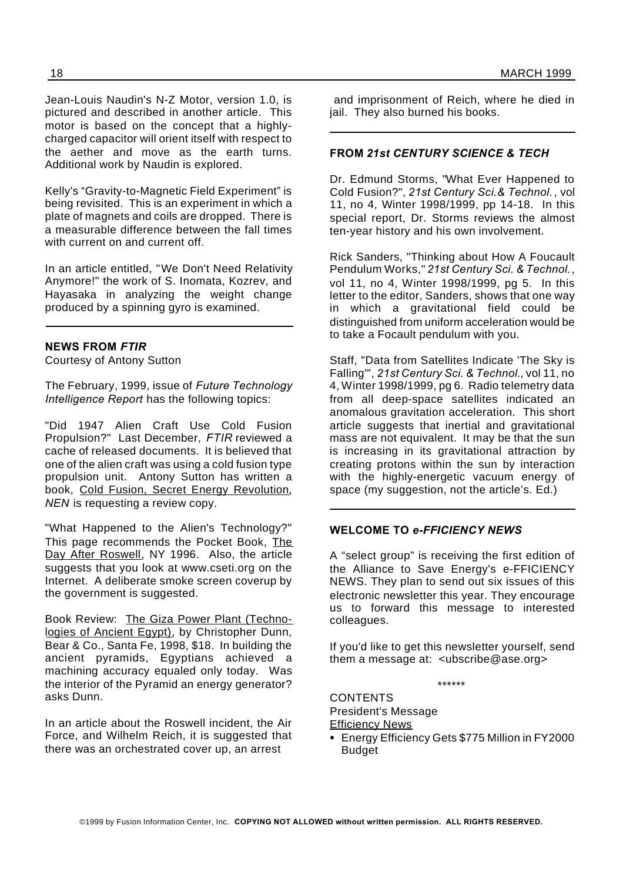Jean-Louis Naudin's N-Z Motor, version 1.0, is pictured and described in another article. This motor is based on the concept that a highlycharged capacitor will orient itself with respect to the aether and move as the earth turns. Additional work by Naudin is explored.

Kelly's "Gravity-to-Magnetic Field Experiment" is being revisited. This is an experiment in which a plate of magnets and coils are dropped. There is a measurable difference between the fall times with current on and current off.

In an article entitled, "We Don't Need Relativity Anymore!" the work of S. Inomata, Kozrev, and Hayasaka in analyzing the weight change produced by a spinning gyro is examined.

#### **NEWS FROM** *FTIR*

Courtesy of Antony Sutton

The February, 1999, issue of *Future Technology Intelligence Report* has the following topics:

"Did 1947 Alien Craft Use Cold Fusion Propulsion?" Last December, *FTIR* reviewed a cache of released documents. It is believed that one of the alien craft was using a cold fusion type propulsion unit. Antony Sutton has written a book, Cold Fusion, Secret Energy Revolution, *NEN* is requesting a review copy.

"What Happened to the Alien's Technology?" This page recommends the Pocket Book, The Day After Roswell, NY 1996. Also, the article suggests that you look at www.cseti.org on the Internet. A deliberate smoke screen coverup by the government is suggested.

Book Review: The Giza Power Plant (Technologies of Ancient Egypt), by Christopher Dunn, Bear & Co., Santa Fe, 1998, \$18. In building the ancient pyramids, Egyptians achieved a machining accuracy equaled only today. Was the interior of the Pyramid an energy generator? asks Dunn.

In an article about the Roswell incident, the Air Force, and Wilhelm Reich, it is suggested that there was an orchestrated cover up, an arrest

and imprisonment of Reich, where he died in jail. They also burned his books.

#### **FROM** *21st CENTURY SCIENCE & TECH*

Dr. Edmund Storms, "What Ever Happened to Cold Fusion?", *21st Century Sci.& Technol.*, vol 11, no 4, Winter 1998/1999, pp 14-18. In this special report, Dr. Storms reviews the almost ten-year history and his own involvement.

Rick Sanders, "Thinking about How A Foucault Pendulum Works," *21st Century Sci. & Technol.*, vol 11, no 4, Winter 1998/1999, pg 5. In this letter to the editor, Sanders, shows that one way in which a gravitational field could be distinguished from uniform acceleration would be to take a Focault pendulum with you.

Staff, "Data from Satellites Indicate 'The Sky is Falling'", *21st Century Sci. & Technol.*, vol 11, no 4, Winter 1998/1999, pg 6. Radio telemetry data from all deep-space satellites indicated an anomalous gravitation acceleration. This short article suggests that inertial and gravitational mass are not equivalent. It may be that the sun is increasing in its gravitational attraction by creating protons within the sun by interaction with the highly-energetic vacuum energy of space (my suggestion, not the article's. Ed.)

#### **WELCOME TO** *e-FFICIENCY NEWS*

A "select group" is receiving the first edition of the Alliance to Save Energy's e-FFICIENCY NEWS. They plan to send out six issues of this electronic newsletter this year. They encourage us to forward this message to interested colleagues.

If you'd like to get this newsletter yourself, send them a message at: <ubscribe@ase.org>

\*\*\*\*\*\*

**CONTENTS** President's Message **Efficiency News** 

Energy Efficiency Gets \$775 Million in FY2000 Budget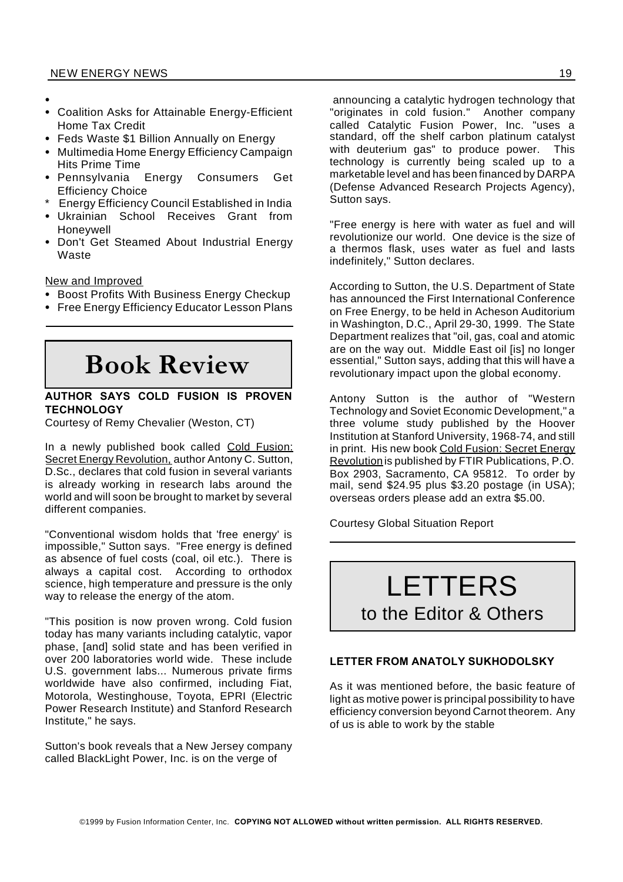- $\bullet$
- Coalition Asks for Attainable Energy-Efficient Home Tax Credit
- Feds Waste \$1 Billion Annually on Energy
- Multimedia Home Energy Efficiency Campaign Hits Prime Time
- Pennsylvania Energy Consumers Get Efficiency Choice
- **Energy Efficiency Council Established in India**
- Ukrainian School Receives Grant from Honeywell
- Don't Get Steamed About Industrial Energy Waste

New and Improved

- Boost Profits With Business Energy Checkup
- Free Energy Efficiency Educator Lesson Plans

**Book Review**

#### **AUTHOR SAYS COLD FUSION IS PROVEN TECHNOLOGY**

Courtesy of Remy Chevalier (Weston, CT)

In a newly published book called Cold Fusion: Secret Energy Revolution, author Antony C. Sutton, D.Sc., declares that cold fusion in several variants is already working in research labs around the world and will soon be brought to market by several different companies.

"Conventional wisdom holds that 'free energy' is impossible," Sutton says. "Free energy is defined as absence of fuel costs (coal, oil etc.). There is always a capital cost. According to orthodox science, high temperature and pressure is the only way to release the energy of the atom.

"This position is now proven wrong. Cold fusion today has many variants including catalytic, vapor phase, [and] solid state and has been verified in over 200 laboratories world wide. These include U.S. government labs... Numerous private firms worldwide have also confirmed, including Fiat, Motorola, Westinghouse, Toyota, EPRI (Electric Power Research Institute) and Stanford Research Institute," he says.

Sutton's book reveals that a New Jersey company called BlackLight Power, Inc. is on the verge of

announcing a catalytic hydrogen technology that "originates in cold fusion." Another company called Catalytic Fusion Power, Inc. "uses a standard, off the shelf carbon platinum catalyst with deuterium gas" to produce power. This technology is currently being scaled up to a marketable level and has been financed by DARPA (Defense Advanced Research Projects Agency), Sutton says.

"Free energy is here with water as fuel and will revolutionize our world. One device is the size of a thermos flask, uses water as fuel and lasts indefinitely," Sutton declares.

According to Sutton, the U.S. Department of State has announced the First International Conference on Free Energy, to be held in Acheson Auditorium in Washington, D.C., April 29-30, 1999. The State Department realizes that "oil, gas, coal and atomic are on the way out. Middle East oil [is] no longer essential," Sutton says, adding that this will have a revolutionary impact upon the global economy.

Antony Sutton is the author of "Western Technology and Soviet Economic Development," a three volume study published by the Hoover Institution at Stanford University, 1968-74, and still in print. His new book Cold Fusion: Secret Energy Revolutionis published by FTIR Publications, P.O. Box 2903, Sacramento, CA 95812. To order by mail, send \$24.95 plus \$3.20 postage (in USA); overseas orders please add an extra \$5.00.

Courtesy Global Situation Report



#### **LETTER FROM ANATOLY SUKHODOLSKY**

As it was mentioned before, the basic feature of light as motive power is principal possibility to have efficiency conversion beyond Carnot theorem. Any of us is able to work by the stable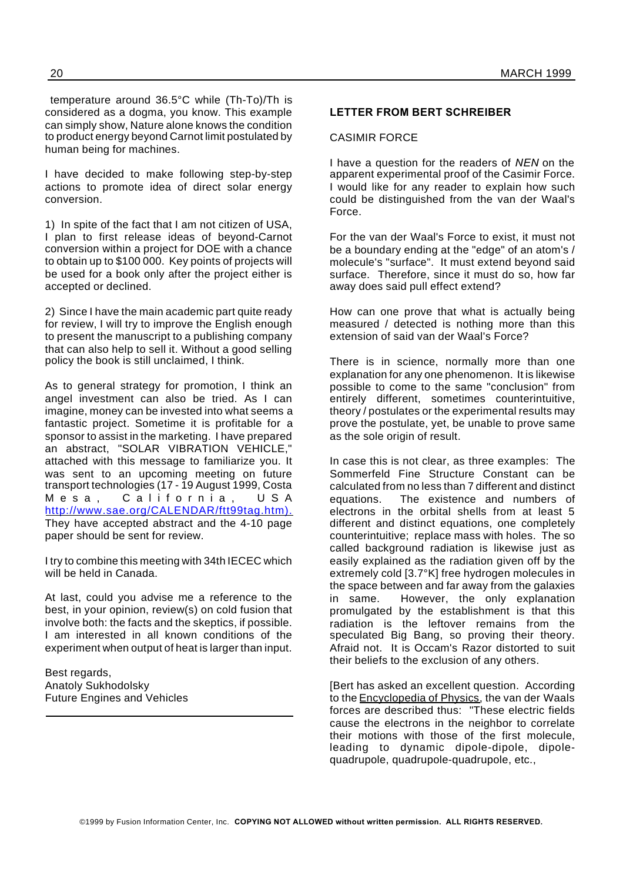temperature around 36.5°C while (Th-To)/Th is considered as a dogma, you know. This example can simply show, Nature alone knows the condition to product energy beyond Carnot limit postulated by human being for machines.

I have decided to make following step-by-step actions to promote idea of direct solar energy conversion.

1) In spite of the fact that I am not citizen of USA, I plan to first release ideas of beyond-Carnot conversion within a project for DOE with a chance to obtain up to \$100 000. Key points of projects will be used for a book only after the project either is accepted or declined.

2) Since I have the main academic part quite ready for review, I will try to improve the English enough to present the manuscript to a publishing company that can also help to sell it. Without a good selling policy the book is still unclaimed, I think.

As to general strategy for promotion, I think an angel investment can also be tried. As I can imagine, money can be invested into what seems a fantastic project. Sometime it is profitable for a sponsor to assist in the marketing. I have prepared an abstract, "SOLAR VIBRATION VEHICLE," attached with this message to familiarize you. It was sent to an upcoming meeting on future transport technologies (17 - 19 August 1999, Costa Mesa, California, USA http://www.sae.org/CALENDAR/ftt99tag.htm). They have accepted abstract and the 4-10 page paper should be sent for review.

I try to combine this meeting with 34th IECEC which will be held in Canada.

At last, could you advise me a reference to the best, in your opinion, review(s) on cold fusion that involve both: the facts and the skeptics, if possible. I am interested in all known conditions of the experiment when output of heat is larger than input.

Best regards, Anatoly Sukhodolsky Future Engines and Vehicles

#### **LETTER FROM BERT SCHREIBER**

#### CASIMIR FORCE

I have a question for the readers of *NEN* on the apparent experimental proof of the Casimir Force. I would like for any reader to explain how such could be distinguished from the van der Waal's Force.

For the van der Waal's Force to exist, it must not be a boundary ending at the "edge" of an atom's / molecule's "surface". It must extend beyond said surface. Therefore, since it must do so, how far away does said pull effect extend?

How can one prove that what is actually being measured / detected is nothing more than this extension of said van der Waal's Force?

There is in science, normally more than one explanation for any one phenomenon. It is likewise possible to come to the same "conclusion" from entirely different, sometimes counterintuitive, theory / postulates or the experimental results may prove the postulate, yet, be unable to prove same as the sole origin of result.

In case this is not clear, as three examples: The Sommerfeld Fine Structure Constant can be calculated from no less than 7 different and distinct equations. The existence and numbers of electrons in the orbital shells from at least 5 different and distinct equations, one completely counterintuitive; replace mass with holes. The so called background radiation is likewise just as easily explained as the radiation given off by the extremely cold [3.7°K] free hydrogen molecules in the space between and far away from the galaxies in same. However, the only explanation promulgated by the establishment is that this radiation is the leftover remains from the speculated Big Bang, so proving their theory. Afraid not. It is Occam's Razor distorted to suit their beliefs to the exclusion of any others.

[Bert has asked an excellent question. According to the Encyclopedia of Physics, the van der Waals forces are described thus: "These electric fields cause the electrons in the neighbor to correlate their motions with those of the first molecule, leading to dynamic dipole-dipole, dipolequadrupole, quadrupole-quadrupole, etc.,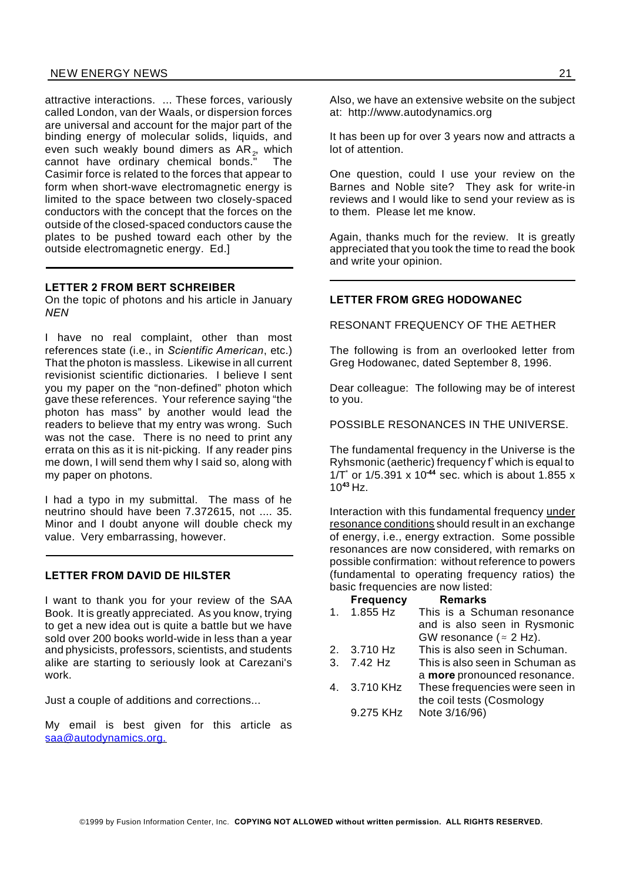#### NEW ENERGY NEWS 21

attractive interactions. ... These forces, variously called London, van der Waals, or dispersion forces are universal and account for the major part of the binding energy of molecular solids, liquids, and even such weakly bound dimers as AR<sub>2</sub>, which cannot have ordinary chemical bonds." The Casimir force is related to the forces that appear to form when short-wave electromagnetic energy is limited to the space between two closely-spaced conductors with the concept that the forces on the outside of the closed-spaced conductors cause the plates to be pushed toward each other by the outside electromagnetic energy. Ed.]

#### **LETTER 2 FROM BERT SCHREIBER**

On the topic of photons and his article in January *NEN*

I have no real complaint, other than most references state (i.e., in *Scientific American*, etc.) That the photon is massless. Likewise in all current revisionist scientific dictionaries. I believe I sent you my paper on the "non-defined" photon which gave these references. Your reference saying "the photon has mass" by another would lead the readers to believe that my entry was wrong. Such was not the case. There is no need to print any errata on this as it is nit-picking. If any reader pins me down, I will send them why I said so, along with my paper on photons.

I had a typo in my submittal. The mass of he neutrino should have been 7.372615, not .... 35. Minor and I doubt anyone will double check my value. Very embarrassing, however.

#### **LETTER FROM DAVID DE HILSTER**

I want to thank you for your review of the SAA Book. It is greatly appreciated. As you know, trying to get a new idea out is quite a battle but we have sold over 200 books world-wide in less than a year and physicists, professors, scientists, and students alike are starting to seriously look at Carezani's work.

Just a couple of additions and corrections...

My email is best given for this article as saa@autodynamics.org.

Also, we have an extensive website on the subject at: http://www.autodynamics.org

It has been up for over 3 years now and attracts a lot of attention.

One question, could I use your review on the Barnes and Noble site? They ask for write-in reviews and I would like to send your review as is to them. Please let me know.

Again, thanks much for the review. It is greatly appreciated that you took the time to read the book and write your opinion.

#### **LETTER FROM GREG HODOWANEC**

RESONANT FREQUENCY OF THE AETHER

The following is from an overlooked letter from Greg Hodowanec, dated September 8, 1996.

Dear colleague: The following may be of interest to you.

POSSIBLE RESONANCES IN THE UNIVERSE.

The fundamental frequency in the Universe is the Ryhsmonic (aetheric) frequency f \* which is equal to 1/T\* or 1/5.391 x 10**-44** sec. which is about 1.855 x 10**<sup>43</sup>** Hz.

Interaction with this fundamental frequency under resonance conditions should result in an exchange of energy, i.e., energy extraction. Some possible resonances are now considered, with remarks on possible confirmation: without reference to powers (fundamental to operating frequency ratios) the basic frequencies are now listed:

**Frequency Remarks** 1. 1.855 Hz This is a Schuman resonance and is also seen in Rysmonic GW resonance ( $\approx$  2 Hz). 2. 3.710 Hz This is also seen in Schuman. 3. 7.42 Hz This is also seen in Schuman as a **more** pronounced resonance. 4. 3.710 KHz These frequencies were seen in the coil tests (Cosmology 9.275 KHz Note 3/16/96)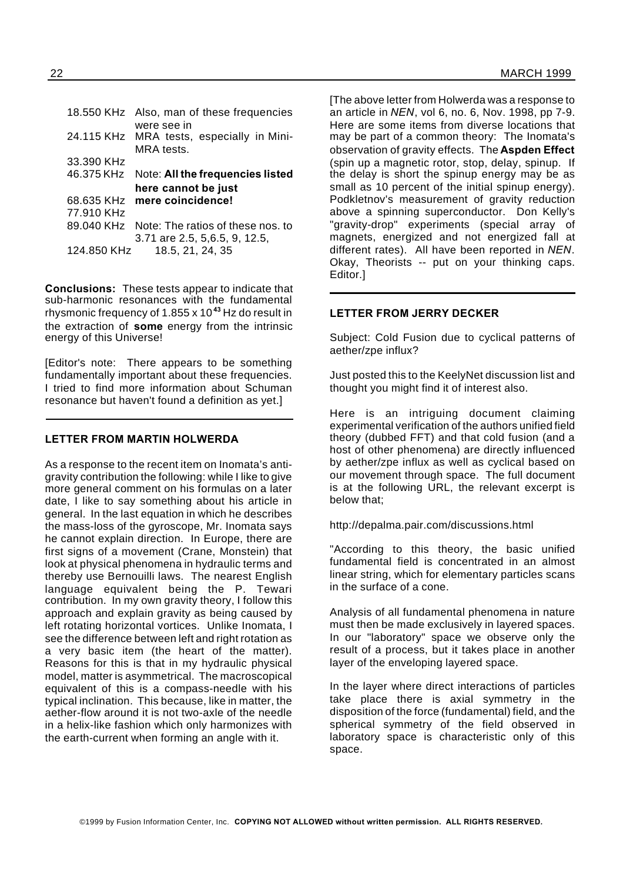|            | 18.550 KHz Also, man of these frequencies    |
|------------|----------------------------------------------|
|            | were see in                                  |
|            | 24.115 KHz MRA tests, especially in Mini-    |
|            | MRA tests.                                   |
| 33.390 KHz |                                              |
|            | 46.375 KHz Note: All the frequencies listed  |
|            |                                              |
|            | here cannot be just                          |
|            | 68.635 KHz mere coincidence!                 |
| 77.910 KHz |                                              |
|            | 89.040 KHz Note: The ratios of these nos. to |
|            | 3.71 are 2.5, 5, 6.5, 9, 12.5,               |

**Conclusions:** These tests appear to indicate that sub-harmonic resonances with the fundamental rhysmonic frequency of 1.855 x 10**<sup>43</sup>** Hz do result in the extraction of **some** energy from the intrinsic energy of this Universe!

[Editor's note: There appears to be something fundamentally important about these frequencies. I tried to find more information about Schuman resonance but haven't found a definition as yet.]

#### **LETTER FROM MARTIN HOLWERDA**

As a response to the recent item on Inomata's antigravity contribution the following: while I like to give more general comment on his formulas on a later date, I like to say something about his article in general. In the last equation in which he describes the mass-loss of the gyroscope, Mr. Inomata says he cannot explain direction. In Europe, there are first signs of a movement (Crane, Monstein) that look at physical phenomena in hydraulic terms and thereby use Bernouilli laws. The nearest English language equivalent being the P. Tewari contribution. In my own gravity theory, I follow this approach and explain gravity as being caused by left rotating horizontal vortices. Unlike Inomata, I see the difference between left and right rotation as a very basic item (the heart of the matter). Reasons for this is that in my hydraulic physical model, matter is asymmetrical. The macroscopical equivalent of this is a compass-needle with his typical inclination. This because, like in matter, the aether-flow around it is not two-axle of the needle in a helix-like fashion which only harmonizes with the earth-current when forming an angle with it.

[The above letter from Holwerda was a response to an article in *NEN*, vol 6, no. 6, Nov. 1998, pp 7-9. Here are some items from diverse locations that may be part of a common theory: The Inomata's observation of gravity effects. The **Aspden Effect** (spin up a magnetic rotor, stop, delay, spinup. If the delay is short the spinup energy may be as small as 10 percent of the initial spinup energy). Podkletnov's measurement of gravity reduction above a spinning superconductor. Don Kelly's "gravity-drop" experiments (special array of magnets, energized and not energized fall at different rates). All have been reported in *NEN*. Okay, Theorists -- put on your thinking caps. Editor.]

#### **LETTER FROM JERRY DECKER**

Subject: Cold Fusion due to cyclical patterns of aether/zpe influx?

Just posted this to the KeelyNet discussion list and thought you might find it of interest also.

Here is an intriguing document claiming experimental verification of the authors unified field theory (dubbed FFT) and that cold fusion (and a host of other phenomena) are directly influenced by aether/zpe influx as well as cyclical based on our movement through space. The full document is at the following URL, the relevant excerpt is below that;

http://depalma.pair.com/discussions.html

"According to this theory, the basic unified fundamental field is concentrated in an almost linear string, which for elementary particles scans in the surface of a cone.

Analysis of all fundamental phenomena in nature must then be made exclusively in layered spaces. In our "laboratory" space we observe only the result of a process, but it takes place in another layer of the enveloping layered space.

In the layer where direct interactions of particles take place there is axial symmetry in the disposition of the force (fundamental) field, and the spherical symmetry of the field observed in laboratory space is characteristic only of this space.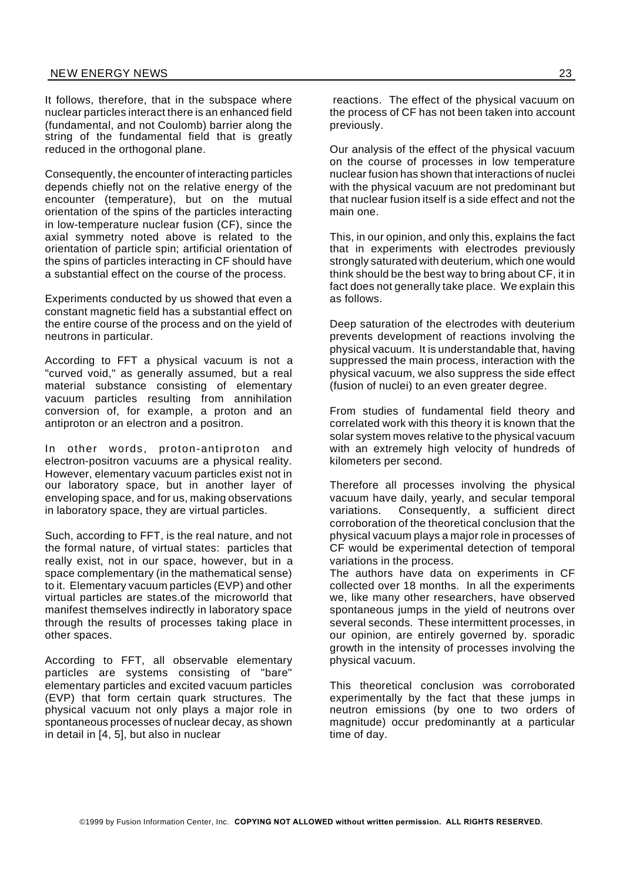It follows, therefore, that in the subspace where nuclear particles interact there is an enhanced field (fundamental, and not Coulomb) barrier along the string of the fundamental field that is greatly reduced in the orthogonal plane.

Consequently, the encounter of interacting particles depends chiefly not on the relative energy of the encounter (temperature), but on the mutual orientation of the spins of the particles interacting in low-temperature nuclear fusion (CF), since the axial symmetry noted above is related to the orientation of particle spin; artificial orientation of the spins of particles interacting in CF should have a substantial effect on the course of the process.

Experiments conducted by us showed that even a constant magnetic field has a substantial effect on the entire course of the process and on the yield of neutrons in particular.

According to FFT a physical vacuum is not a "curved void," as generally assumed, but a real material substance consisting of elementary vacuum particles resulting from annihilation conversion of, for example, a proton and an antiproton or an electron and a positron.

In other words, proton-antiproton and electron-positron vacuums are a physical reality. However, elementary vacuum particles exist not in our laboratory space, but in another layer of enveloping space, and for us, making observations in laboratory space, they are virtual particles.

Such, according to FFT, is the real nature, and not the formal nature, of virtual states: particles that really exist, not in our space, however, but in a space complementary (in the mathematical sense) to it. Elementary vacuum particles (EVP) and other virtual particles are states.of the microworld that manifest themselves indirectly in laboratory space through the results of processes taking place in other spaces.

According to FFT, all observable elementary particles are systems consisting of "bare" elementary particles and excited vacuum particles (EVP) that form certain quark structures. The physical vacuum not only plays a major role in spontaneous processes of nuclear decay, as shown in detail in [4, 5], but also in nuclear

reactions. The effect of the physical vacuum on the process of CF has not been taken into account previously.

Our analysis of the effect of the physical vacuum on the course of processes in low temperature nuclear fusion has shown that interactions of nuclei with the physical vacuum are not predominant but that nuclear fusion itself is a side effect and not the main one.

This, in our opinion, and only this, explains the fact that in experiments with electrodes previously strongly saturated with deuterium, which one would think should be the best way to bring about CF, it in fact does not generally take place. We explain this as follows.

Deep saturation of the electrodes with deuterium prevents development of reactions involving the physical vacuum. It is understandable that, having suppressed the main process, interaction with the physical vacuum, we also suppress the side effect (fusion of nuclei) to an even greater degree.

From studies of fundamental field theory and correlated work with this theory it is known that the solar system moves relative to the physical vacuum with an extremely high velocity of hundreds of kilometers per second.

Therefore all processes involving the physical vacuum have daily, yearly, and secular temporal variations. Consequently, a sufficient direct corroboration of the theoretical conclusion that the physical vacuum plays a major role in processes of CF would be experimental detection of temporal variations in the process.

The authors have data on experiments in CF collected over 18 months. In all the experiments we, like many other researchers, have observed spontaneous jumps in the yield of neutrons over several seconds. These intermittent processes, in our opinion, are entirely governed by. sporadic growth in the intensity of processes involving the physical vacuum.

This theoretical conclusion was corroborated experimentally by the fact that these jumps in neutron emissions (by one to two orders of magnitude) occur predominantly at a particular time of day.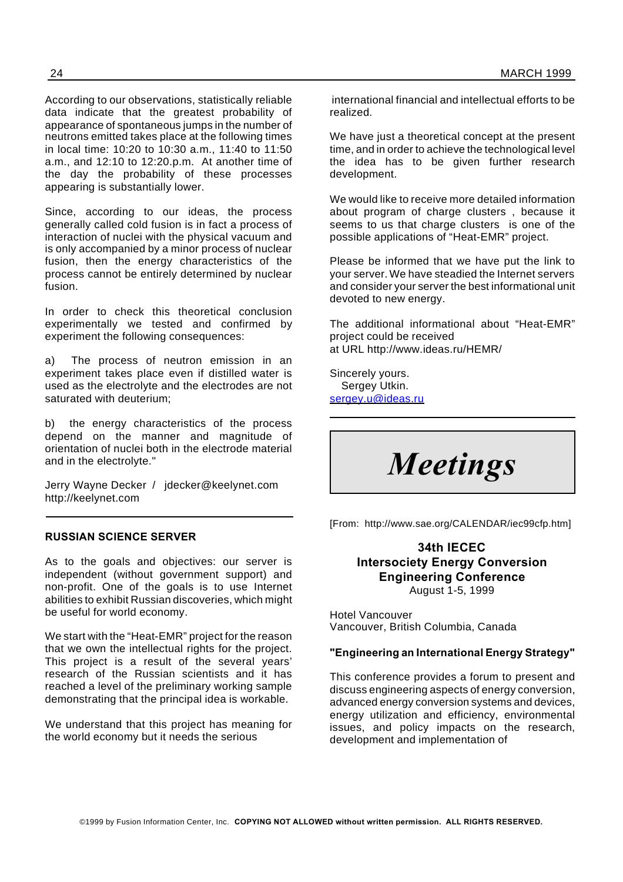According to our observations, statistically reliable data indicate that the greatest probability of appearance of spontaneous jumps in the number of neutrons emitted takes place at the following times in local time: 10:20 to 10:30 a.m., 11:40 to 11:50 a.m., and 12:10 to 12:20.p.m. At another time of the day the probability of these processes appearing is substantially lower.

Since, according to our ideas, the process generally called cold fusion is in fact a process of interaction of nuclei with the physical vacuum and is only accompanied by a minor process of nuclear fusion, then the energy characteristics of the process cannot be entirely determined by nuclear fusion.

In order to check this theoretical conclusion experimentally we tested and confirmed by experiment the following consequences:

a) The process of neutron emission in an experiment takes place even if distilled water is used as the electrolyte and the electrodes are not saturated with deuterium;

b) the energy characteristics of the process depend on the manner and magnitude of orientation of nuclei both in the electrode material and in the electrolyte."

Jerry Wayne Decker / jdecker@keelynet.com http://keelynet.com

#### **RUSSIAN SCIENCE SERVER**

As to the goals and objectives: our server is independent (without government support) and non-profit. One of the goals is to use Internet abilities to exhibit Russian discoveries, which might be useful for world economy.

We start with the "Heat-EMR" project for the reason that we own the intellectual rights for the project. This project is a result of the several years' research of the Russian scientists and it has reached a level of the preliminary working sample demonstrating that the principal idea is workable.

We understand that this project has meaning for the world economy but it needs the serious

international financial and intellectual efforts to be realized.

We have just a theoretical concept at the present time, and in order to achieve the technological level the idea has to be given further research development.

We would like to receive more detailed information about program of charge clusters , because it seems to us that charge clusters is one of the possible applications of "Heat-EMR" project.

Please be informed that we have put the link to your server. We have steadied the Internet servers and consider your server the best informational unit devoted to new energy.

The additional informational about "Heat-EMR" project could be received at URL http://www.ideas.ru/HEMR/

Sincerely yours. Sergey Utkin. sergey.u@ideas.ru



[From: http://www.sae.org/CALENDAR/iec99cfp.htm]

#### **34th IECEC Intersociety Energy Conversion Engineering Conference** August 1-5, 1999

Hotel Vancouver Vancouver, British Columbia, Canada

#### **"Engineering an International Energy Strategy"**

This conference provides a forum to present and discuss engineering aspects of energy conversion, advanced energy conversion systems and devices, energy utilization and efficiency, environmental issues, and policy impacts on the research, development and implementation of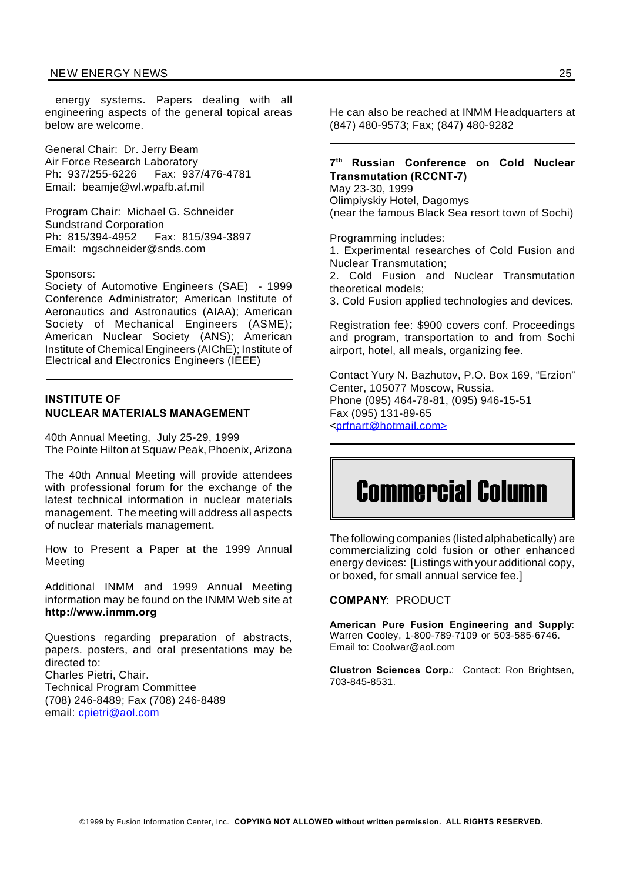#### NEW ENERGY NEWS 25

energy systems. Papers dealing with all engineering aspects of the general topical areas below are welcome.

General Chair: Dr. Jerry Beam Air Force Research Laboratory Ph: 937/255-6226 Fax: 937/476-4781 Email: beamje@wl.wpafb.af.mil

Program Chair: Michael G. Schneider Sundstrand Corporation Ph: 815/394-4952 Fax: 815/394-3897 Email: mgschneider@snds.com

#### Sponsors:

Society of Automotive Engineers (SAE) - 1999 Conference Administrator; American Institute of Aeronautics and Astronautics (AIAA); American Society of Mechanical Engineers (ASME); American Nuclear Society (ANS); American Institute of Chemical Engineers (AIChE); Institute of Electrical and Electronics Engineers (IEEE)

#### **INSTITUTE OF NUCLEAR MATERIALS MANAGEMENT**

40th Annual Meeting, July 25-29, 1999 The Pointe Hilton at Squaw Peak, Phoenix, Arizona

The 40th Annual Meeting will provide attendees with professional forum for the exchange of the latest technical information in nuclear materials management. The meeting will address all aspects of nuclear materials management.

How to Present a Paper at the 1999 Annual Meeting

Additional INMM and 1999 Annual Meeting information may be found on the INMM Web site at **http://www.inmm.org**

Questions regarding preparation of abstracts, papers. posters, and oral presentations may be directed to: Charles Pietri, Chair. Technical Program Committee (708) 246-8489; Fax (708) 246-8489 email: cpietri@aol.com

He can also be reached at INMM Headquarters at (847) 480-9573; Fax; (847) 480-9282

#### **7 th Russian Conference on Cold Nuclear Transmutation (RCCNT-7)**

May 23-30, 1999 Olimpiyskiy Hotel, Dagomys (near the famous Black Sea resort town of Sochi)

Programming includes:

1. Experimental researches of Cold Fusion and Nuclear Transmutation;

2. Cold Fusion and Nuclear Transmutation theoretical models;

3. Cold Fusion applied technologies and devices.

Registration fee: \$900 covers conf. Proceedings and program, transportation to and from Sochi airport, hotel, all meals, organizing fee.

Contact Yury N. Bazhutov, P.O. Box 169, "Erzion" Center, 105077 Moscow, Russia. Phone (095) 464-78-81, (095) 946-15-51 Fax (095) 131-89-65 <prfnart@hotmail.com>

# Commercial Column

The following companies (listed alphabetically) are commercializing cold fusion or other enhanced energy devices: [Listings with your additional copy, or boxed, for small annual service fee.]

#### **COMPANY**: PRODUCT

**American Pure Fusion Engineering and Supply**: Warren Cooley, 1-800-789-7109 or 503-585-6746. Email to: Coolwar@aol.com

**Clustron Sciences Corp.**: Contact: Ron Brightsen, 703-845-8531.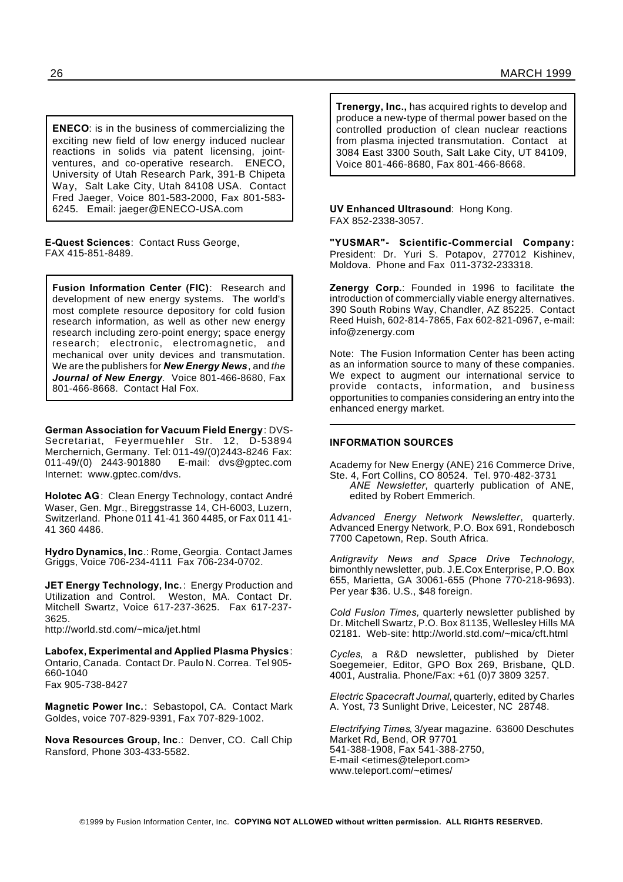**ENECO**: is in the business of commercializing the exciting new field of low energy induced nuclear reactions in solids via patent licensing, jointventures, and co-operative research. ENECO, University of Utah Research Park, 391-B Chipeta Way, Salt Lake City, Utah 84108 USA. Contact Fred Jaeger, Voice 801-583-2000, Fax 801-583- 6245. Email: jaeger@ENECO-USA.com

**E-Quest Sciences**: Contact Russ George, FAX 415-851-8489.

**Fusion Information Center (FIC)**: Research and development of new energy systems. The world's most complete resource depository for cold fusion research information, as well as other new energy research including zero-point energy; space energy research; electronic, electromagnetic, and mechanical over unity devices and transmutation. We are the publishers for *New Energy News*, and *the Journal of New Energy.* Voice 801-466-8680, Fax 801-466-8668. Contact Hal Fox.

**German Association for Vacuum Field Energy**: DVS-Secretariat, Feyermuehler Str. 12, D-53894 Merchernich, Germany. Tel: 011-49/(0)2443-8246 Fax:<br>011-49/(0) 2443-901880 E-mail: dvs@gptec.com E-mail: dvs@gptec.com Internet: www.gptec.com/dvs.

**Holotec AG**: Clean Energy Technology, contact André Waser, Gen. Mgr., Bireggstrasse 14, CH-6003, Luzern, Switzerland. Phone 011 41-41 360 4485, or Fax 011 41- 41 360 4486.

**Hydro Dynamics, Inc**.: Rome, Georgia. Contact James Griggs, Voice 706-234-4111 Fax 706-234-0702.

**JET Energy Technology, Inc.**: Energy Production and Utilization and Control. Weston, MA. Contact Dr. Mitchell Swartz, Voice 617-237-3625. Fax 617-237- 3625.

http://world.std.com/~mica/jet.html

**Labofex, Experimental and Applied Plasma Physics**: Ontario, Canada. Contact Dr. Paulo N. Correa. Tel 905- 660-1040 Fax 905-738-8427

**Magnetic Power Inc.**: Sebastopol, CA. Contact Mark Goldes, voice 707-829-9391, Fax 707-829-1002.

**Nova Resources Group, Inc**.: Denver, CO. Call Chip Ransford, Phone 303-433-5582.

**Trenergy, Inc.,** has acquired rights to develop and produce a new-type of thermal power based on the controlled production of clean nuclear reactions from plasma injected transmutation. Contact at 3084 East 3300 South, Salt Lake City, UT 84109, Voice 801-466-8680, Fax 801-466-8668.

#### **UV Enhanced Ultrasound**: Hong Kong. FAX 852-2338-3057.

**"YUSMAR"- Scientific-Commercial Company:** President: Dr. Yuri S. Potapov, 277012 Kishinev, Moldova. Phone and Fax 011-3732-233318.

**Zenergy Corp.**: Founded in 1996 to facilitate the introduction of commercially viable energy alternatives. 390 South Robins Way, Chandler, AZ 85225. Contact Reed Huish, 602-814-7865, Fax 602-821-0967, e-mail: info@zenergy.com

Note: The Fusion Information Center has been acting as an information source to many of these companies. We expect to augment our international service to provide contacts, information, and business opportunities to companies considering an entry into the enhanced energy market.

#### **INFORMATION SOURCES**

Academy for New Energy (ANE) 216 Commerce Drive, Ste. 4, Fort Collins, CO 80524. Tel. 970-482-3731

*ANE Newsletter*, quarterly publication of ANE, edited by Robert Emmerich.

*Advanced Energy Network Newsletter*, quarterly. Advanced Energy Network, P.O. Box 691, Rondebosch 7700 Capetown, Rep. South Africa.

*Antigravity News and Space Drive Technology*, bimonthly newsletter, pub. J.E.Cox Enterprise, P.O. Box 655, Marietta, GA 30061-655 (Phone 770-218-9693). Per year \$36. U.S., \$48 foreign.

*Cold Fusion Times,* quarterly newsletter published by Dr. Mitchell Swartz, P.O. Box 81135, Wellesley Hills MA 02181. Web-site: http://world.std.com/~mica/cft.html

*Cycles*, a R&D newsletter, published by Dieter Soegemeier, Editor, GPO Box 269, Brisbane, QLD. 4001, Australia. Phone/Fax: +61 (0)7 3809 3257.

*Electric Spacecraft Journal*, quarterly, edited by Charles A. Yost, 73 Sunlight Drive, Leicester, NC 28748.

*Electrifying Times*, 3/year magazine. 63600 Deschutes Market Rd, Bend, OR 97701 541-388-1908, Fax 541-388-2750, E-mail <etimes@teleport.com> www.teleport.com/~etimes/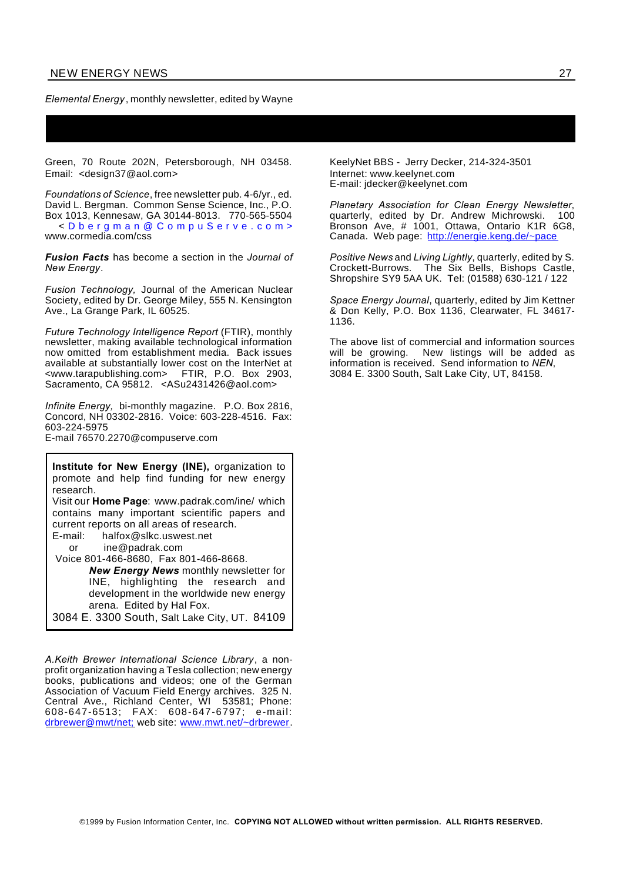#### *Elemental Energy* , monthly newsletter, edited by Wayne

Green, 70 Route 202N, Petersborough, NH 03458. Email: <design37@aol.com>

*Foundations of Science*, free newsletter pub. 4-6/yr., ed. David L. Bergman. Common Sense Science, Inc., P.O. Box 1013, Kennesaw, GA 30144-8013. 770-565-5504 < D b e r g m a n @ C o m p u S e r v e . c o m > www.cormedia.com/css

*Fusion Facts* has become a section in the *Journal of New Energy*.

*Fusion Technology,* Journal of the American Nuclear Society, edited by Dr. George Miley, 555 N. Kensington Ave., La Grange Park, IL 60525.

*Future Technology Intelligence Report* (FTIR), monthly newsletter, making available technological information now omitted from establishment media. Back issues available at substantially lower cost on the InterNet at <www.tarapublishing.com> FTIR, P.O. Box 2903, Sacramento, CA 95812. <ASu2431426@aol.com>

*Infinite Energy,* bi-monthly magazine. P.O. Box 2816, Concord, NH 03302-2816. Voice: 603-228-4516. Fax: 603-224-5975

E-mail 76570.2270@compuserve.com

**Institute for New Energy (INE),** organization to promote and help find funding for new energy research. Visit our **Home Page**: www.padrak.com/ine/ which contains many important scientific papers and current reports on all areas of research. E-mail: halfox@slkc.uswest.net or ine@padrak.com Voice 801-466-8680, Fax 801-466-8668. *New Energy News* monthly newsletter for INE, highlighting the research and development in the worldwide new energy arena. Edited by Hal Fox.

3084 E. 3300 South, Salt Lake City, UT. 84109

*A.Keith Brewer International Science Library*, a nonprofit organization having a Tesla collection; new energy books, publications and videos; one of the German Association of Vacuum Field Energy archives. 325 N. Central Ave., Richland Center, WI 53581; Phone: 608-647-6513; FAX: 608-647-6797; e-mail: drbrewer@mwt/net; web site: www.mwt.net/~drbrewer.

KeelyNet BBS - Jerry Decker, 214-324-3501 Internet: www.keelynet.com E-mail: jdecker@keelynet.com

*Planetary Association for Clean Energy Newsletter*, quarterly, edited by Dr. Andrew Michrowski. 100 Bronson Ave, # 1001, Ottawa, Ontario K1R 6G8, Canada. Web page: http://energie.keng.de/~pace

*Positive News* and *Living Lightly*, quarterly, edited by S. Crockett-Burrows. The Six Bells, Bishops Castle, Shropshire SY9 5AA UK. Tel: (01588) 630-121 / 122

*Space Energy Journal*, quarterly, edited by Jim Kettner & Don Kelly, P.O. Box 1136, Clearwater, FL 34617- 1136.

The above list of commercial and information sources will be growing. New listings will be added as information is received. Send information to *NEN*, 3084 E. 3300 South, Salt Lake City, UT, 84158.